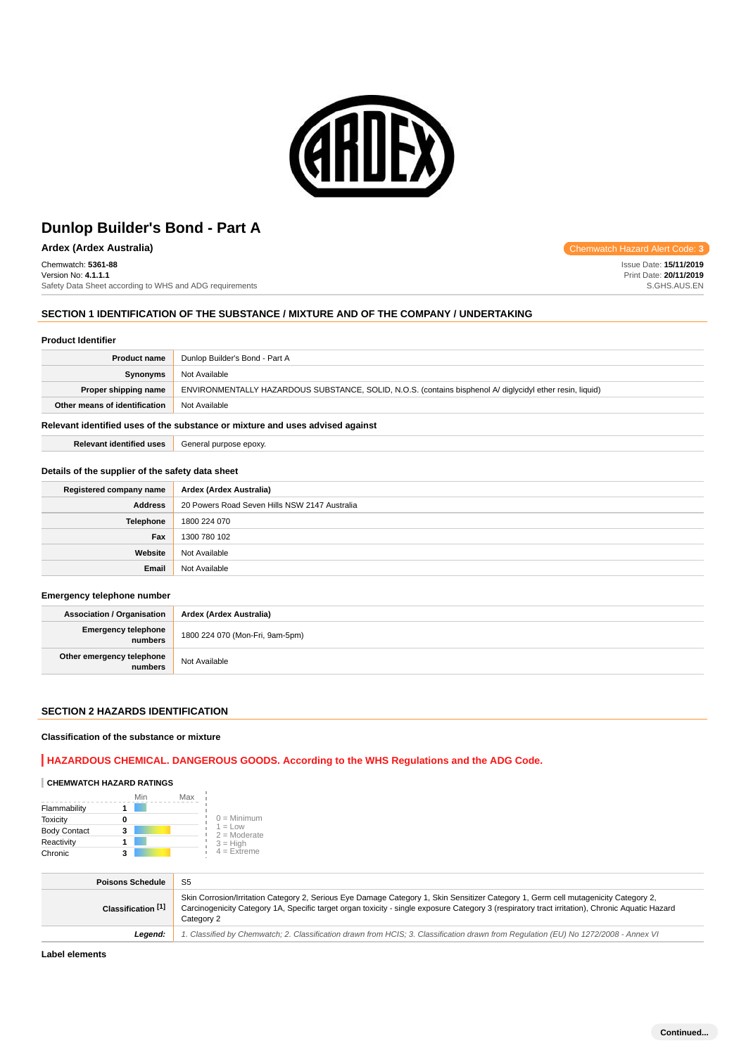

**Ardex (Ardex Australia) Chemwatch Hazard Alert Code: 3 Chemwatch Hazard Alert Code: 3** 

Chemwatch: **5361-88**

Version No: **4.1.1.1** Safety Data Sheet according to WHS and ADG requirements

# **SECTION 1 IDENTIFICATION OF THE SUBSTANCE / MIXTURE AND OF THE COMPANY / UNDERTAKING**

#### **Product Identifier**

| <b>Product name</b>           | Dunlop Builder's Bond - Part A                                                                            |
|-------------------------------|-----------------------------------------------------------------------------------------------------------|
| <b>Synonyms</b>               | Not Available                                                                                             |
| Proper shipping name          | ENVIRONMENTALLY HAZARDOUS SUBSTANCE, SOLID, N.O.S. (contains bisphenol A/ diglycidyl ether resin, liquid) |
| Other means of identification | Not Available                                                                                             |
|                               |                                                                                                           |

### **Relevant identified uses of the substance or mixture and uses advised against**

**Relevant identified uses** General purpose epoxy.

### **Details of the supplier of the safety data sheet**

| Registered company name | Ardex (Ardex Australia)                       |
|-------------------------|-----------------------------------------------|
| <b>Address</b>          | 20 Powers Road Seven Hills NSW 2147 Australia |
| Telephone               | 1800 224 070                                  |
| Fax                     | 1300 780 102                                  |
| Website                 | Not Available                                 |
| Email                   | Not Available                                 |

### **Emergency telephone number**

| <b>Association / Organisation</b>     | Ardex (Ardex Australia)         |
|---------------------------------------|---------------------------------|
| <b>Emergency telephone</b><br>numbers | 1800 224 070 (Mon-Fri, 9am-5pm) |
| Other emergency telephone<br>numbers  | Not Available                   |

# **SECTION 2 HAZARDS IDENTIFICATION**

#### **Classification of the substance or mixture**

# **HAZARDOUS CHEMICAL. DANGEROUS GOODS. According to the WHS Regulations and the ADG Code.**

### **CHEMWATCH HAZARD RATINGS**

|                     | Min | Max |                                    |
|---------------------|-----|-----|------------------------------------|
| Flammability        |     |     |                                    |
| <b>Toxicity</b>     |     |     | $0 =$ Minimum                      |
| <b>Body Contact</b> | 3   |     | $1 = 1$ $\Omega$<br>$2 =$ Moderate |
| Reactivity          |     |     | $3 = High$                         |
| Chronic             | 3   |     | $4 =$ Extreme                      |

| <b>Poisons Schedule</b> | S <sub>5</sub>                                                                                                                                                                                                                                                                                       |
|-------------------------|------------------------------------------------------------------------------------------------------------------------------------------------------------------------------------------------------------------------------------------------------------------------------------------------------|
| Classification [1]      | Skin Corrosion/Irritation Category 2, Serious Eye Damage Category 1, Skin Sensitizer Category 1, Germ cell mutagenicity Category 2,<br>Carcinogenicity Category 1A, Specific target organ toxicity - single exposure Category 3 (respiratory tract irritation), Chronic Aquatic Hazard<br>Category 2 |
| Leaend:                 | 1. Classified by Chemwatch; 2. Classification drawn from HCIS; 3. Classification drawn from Requlation (EU) No 1272/2008 - Annex VI                                                                                                                                                                  |

**Label elements**

Issue Date: **15/11/2019** Print Date: **20/11/2019** S.GHS.AUS.EN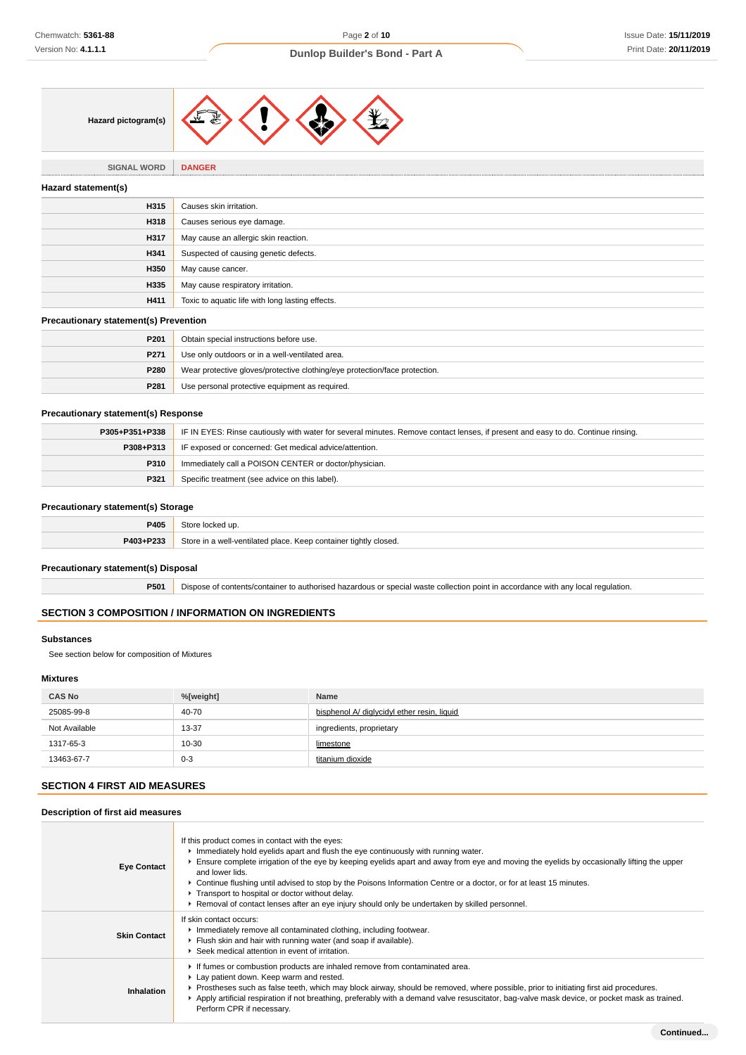

**SIGNAL WORD DANGER**

#### **Hazard statement(s)**

| <b>Hazaru Statement St</b> |                                                  |
|----------------------------|--------------------------------------------------|
| H315                       | Causes skin irritation.                          |
| H318                       | Causes serious eye damage.                       |
| H317                       | May cause an allergic skin reaction.             |
| H341                       | Suspected of causing genetic defects.            |
| H350                       | May cause cancer.                                |
| H335                       | May cause respiratory irritation.                |
| H411                       | Toxic to aquatic life with long lasting effects. |

# **Precautionary statement(s) Prevention**

| P <sub>201</sub> | Obtain special instructions before use.                                    |
|------------------|----------------------------------------------------------------------------|
| P271             | Use only outdoors or in a well-ventilated area.                            |
| P280             | Wear protective gloves/protective clothing/eye protection/face protection. |
| P281             | Use personal protective equipment as required.                             |

### **Precautionary statement(s) Response**

| P305+P351+P338 | IF IN EYES: Rinse cautiously with water for several minutes. Remove contact lenses, if present and easy to do. Continue rinsing. |
|----------------|----------------------------------------------------------------------------------------------------------------------------------|
| P308+P313      | IF exposed or concerned: Get medical advice/attention.                                                                           |
| P310           | Immediately call a POISON CENTER or doctor/physician.                                                                            |
| P321           | Specific treatment (see advice on this label).                                                                                   |

### **Precautionary statement(s) Storage**

| P405      | ⊰tore<br>Nocked up.                                                   |
|-----------|-----------------------------------------------------------------------|
| P403+P233 | Store in a well-ventilated place. Keep container tightly closed.<br>. |

# **Precautionary statement(s) Disposal**

**P501** Dispose of contents/container to authorised hazardous or special waste collection point in accordance with any local regulation.

# **SECTION 3 COMPOSITION / INFORMATION ON INGREDIENTS**

### **Substances**

See section below for composition of Mixtures

# **Mixtures**

| <b>CAS No</b> | %[weight] | Name                                        |
|---------------|-----------|---------------------------------------------|
| 25085-99-8    | 40-70     | bisphenol A/ diglycidyl ether resin, liquid |
| Not Available | 13-37     | ingredients, proprietary                    |
| 1317-65-3     | 10-30     | limestone                                   |
| 13463-67-7    | $0 - 3$   | titanium dioxide                            |

# **SECTION 4 FIRST AID MEASURES**

# **Description of first aid measures**

| <b>Eye Contact</b>  | If this product comes in contact with the eyes:<br>Immediately hold eyelids apart and flush the eye continuously with running water.<br>Ensure complete irrigation of the eye by keeping eyelids apart and away from eye and moving the eyelids by occasionally lifting the upper<br>and lower lids.<br>► Continue flushing until advised to stop by the Poisons Information Centre or a doctor, or for at least 15 minutes.<br>Transport to hospital or doctor without delay.<br>► Removal of contact lenses after an eye injury should only be undertaken by skilled personnel. |
|---------------------|-----------------------------------------------------------------------------------------------------------------------------------------------------------------------------------------------------------------------------------------------------------------------------------------------------------------------------------------------------------------------------------------------------------------------------------------------------------------------------------------------------------------------------------------------------------------------------------|
| <b>Skin Contact</b> | If skin contact occurs:<br>Inmediately remove all contaminated clothing, including footwear.<br>Flush skin and hair with running water (and soap if available).<br>▶ Seek medical attention in event of irritation.                                                                                                                                                                                                                                                                                                                                                               |
| Inhalation          | If fumes or combustion products are inhaled remove from contaminated area.<br>Lay patient down. Keep warm and rested.<br>▶ Prostheses such as false teeth, which may block airway, should be removed, where possible, prior to initiating first aid procedures.<br>Apply artificial respiration if not breathing, preferably with a demand valve resuscitator, bag-valve mask device, or pocket mask as trained.<br>Perform CPR if necessary.                                                                                                                                     |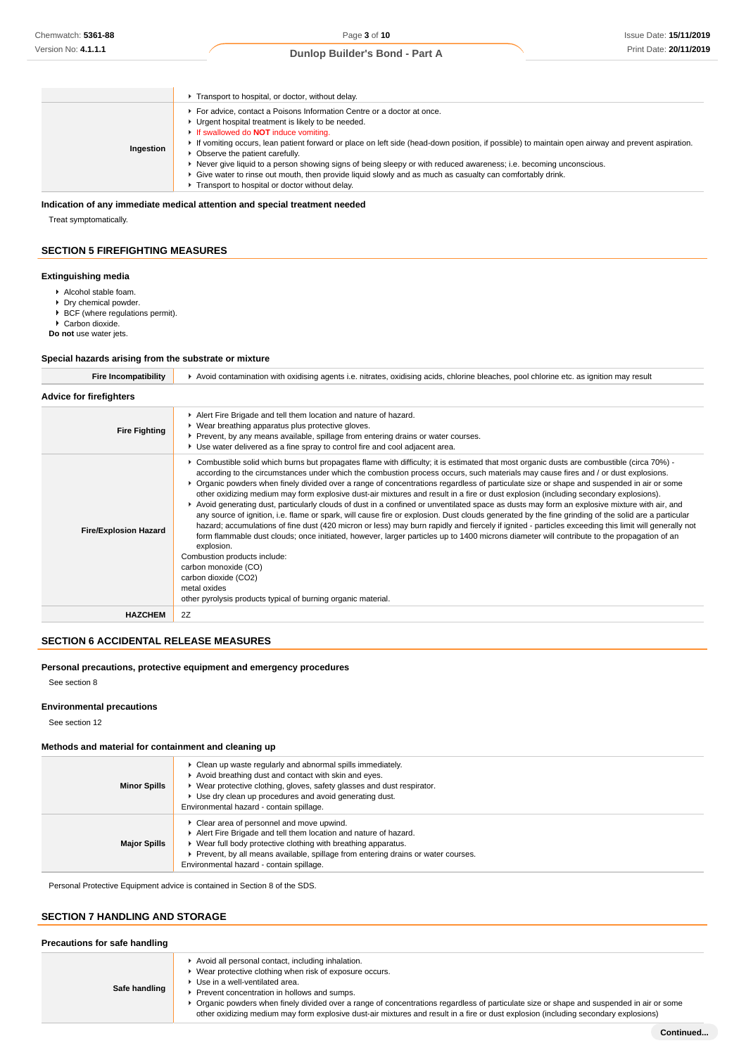|  | Dunlop Builder's Bond - Part A |  |  |
|--|--------------------------------|--|--|
|--|--------------------------------|--|--|

|           | Transport to hospital, or doctor, without delay.                                                                                                                                                                                                                                                                                                                                                                                                                                                                                                                                                                                                                |
|-----------|-----------------------------------------------------------------------------------------------------------------------------------------------------------------------------------------------------------------------------------------------------------------------------------------------------------------------------------------------------------------------------------------------------------------------------------------------------------------------------------------------------------------------------------------------------------------------------------------------------------------------------------------------------------------|
| Ingestion | For advice, contact a Poisons Information Centre or a doctor at once.<br>Urgent hospital treatment is likely to be needed.<br>If swallowed do <b>NOT</b> induce vomiting.<br>If vomiting occurs, lean patient forward or place on left side (head-down position, if possible) to maintain open airway and prevent aspiration.<br>• Observe the patient carefully.<br>Never give liquid to a person showing signs of being sleepy or with reduced awareness; i.e. becoming unconscious.<br>$\epsilon$ Give water to rinse out mouth, then provide liquid slowly and as much as casualty can comfortably drink.<br>Transport to hospital or doctor without delay. |

# **Indication of any immediate medical attention and special treatment needed**

Treat symptomatically.

### **SECTION 5 FIREFIGHTING MEASURES**

#### **Extinguishing media**

- Alcohol stable foam.
- Dry chemical powder.
- $\triangleright$  BCF (where regulations permit).
- ▶ Carbon dioxide.

**Do not** use water jets.

#### **Special hazards arising from the substrate or mixture**

| <b>Fire Incompatibility</b>    | ► Avoid contamination with oxidising agents i.e. nitrates, oxidising acids, chlorine bleaches, pool chlorine etc. as ignition may result                                                                                                                                                                                                                                                                                                                                                                                                                                                                                                                                                                                                                                                                                                                                                                                                                                                                                                                                                                                                                                                                                                                                                                                                                            |
|--------------------------------|---------------------------------------------------------------------------------------------------------------------------------------------------------------------------------------------------------------------------------------------------------------------------------------------------------------------------------------------------------------------------------------------------------------------------------------------------------------------------------------------------------------------------------------------------------------------------------------------------------------------------------------------------------------------------------------------------------------------------------------------------------------------------------------------------------------------------------------------------------------------------------------------------------------------------------------------------------------------------------------------------------------------------------------------------------------------------------------------------------------------------------------------------------------------------------------------------------------------------------------------------------------------------------------------------------------------------------------------------------------------|
| <b>Advice for firefighters</b> |                                                                                                                                                                                                                                                                                                                                                                                                                                                                                                                                                                                                                                                                                                                                                                                                                                                                                                                                                                                                                                                                                                                                                                                                                                                                                                                                                                     |
| <b>Fire Fighting</b>           | Alert Fire Brigade and tell them location and nature of hazard.<br>▶ Wear breathing apparatus plus protective gloves.<br>▶ Prevent, by any means available, spillage from entering drains or water courses.<br>► Use water delivered as a fine spray to control fire and cool adjacent area.                                                                                                                                                                                                                                                                                                                                                                                                                                                                                                                                                                                                                                                                                                                                                                                                                                                                                                                                                                                                                                                                        |
| <b>Fire/Explosion Hazard</b>   | ► Combustible solid which burns but propagates flame with difficulty; it is estimated that most organic dusts are combustible (circa 70%) -<br>according to the circumstances under which the combustion process occurs, such materials may cause fires and / or dust explosions.<br>▶ Organic powders when finely divided over a range of concentrations regardless of particulate size or shape and suspended in air or some<br>other oxidizing medium may form explosive dust-air mixtures and result in a fire or dust explosion (including secondary explosions).<br>▶ Avoid generating dust, particularly clouds of dust in a confined or unventilated space as dusts may form an explosive mixture with air, and<br>any source of ignition, i.e. flame or spark, will cause fire or explosion. Dust clouds generated by the fine grinding of the solid are a particular<br>hazard; accumulations of fine dust (420 micron or less) may burn rapidly and fiercely if ignited - particles exceeding this limit will generally not<br>form flammable dust clouds; once initiated, however, larger particles up to 1400 microns diameter will contribute to the propagation of an<br>explosion.<br>Combustion products include:<br>carbon monoxide (CO)<br>carbon dioxide (CO2)<br>metal oxides<br>other pyrolysis products typical of burning organic material. |
| <b>HAZCHEM</b>                 | 2Z                                                                                                                                                                                                                                                                                                                                                                                                                                                                                                                                                                                                                                                                                                                                                                                                                                                                                                                                                                                                                                                                                                                                                                                                                                                                                                                                                                  |

# **SECTION 6 ACCIDENTAL RELEASE MEASURES**

#### **Personal precautions, protective equipment and emergency procedures**

See section 8

### **Environmental precautions**

See section 12

### **Methods and material for containment and cleaning up**

| <b>Minor Spills</b> | • Clean up waste regularly and abnormal spills immediately.<br>Avoid breathing dust and contact with skin and eyes.<br>▶ Wear protective clothing, gloves, safety glasses and dust respirator.<br>► Use dry clean up procedures and avoid generating dust.<br>Environmental hazard - contain spillage.            |
|---------------------|-------------------------------------------------------------------------------------------------------------------------------------------------------------------------------------------------------------------------------------------------------------------------------------------------------------------|
| <b>Major Spills</b> | ▶ Clear area of personnel and move upwind.<br>Alert Fire Brigade and tell them location and nature of hazard.<br>▶ Wear full body protective clothing with breathing apparatus.<br>▶ Prevent, by all means available, spillage from entering drains or water courses.<br>Environmental hazard - contain spillage. |

Personal Protective Equipment advice is contained in Section 8 of the SDS.

### **SECTION 7 HANDLING AND STORAGE**

#### **Precautions for safe handling Safe handling** Avoid all personal contact, including inhalation. ▶ Wear protective clothing when risk of exposure occurs. Use in a well-ventilated area. Prevent concentration in hollows and sumps. Organic powders when finely divided over a range of concentrations regardless of particulate size or shape and suspended in air or some other oxidizing medium may form explosive dust-air mixtures and result in a fire or dust explosion (including secondary explosions)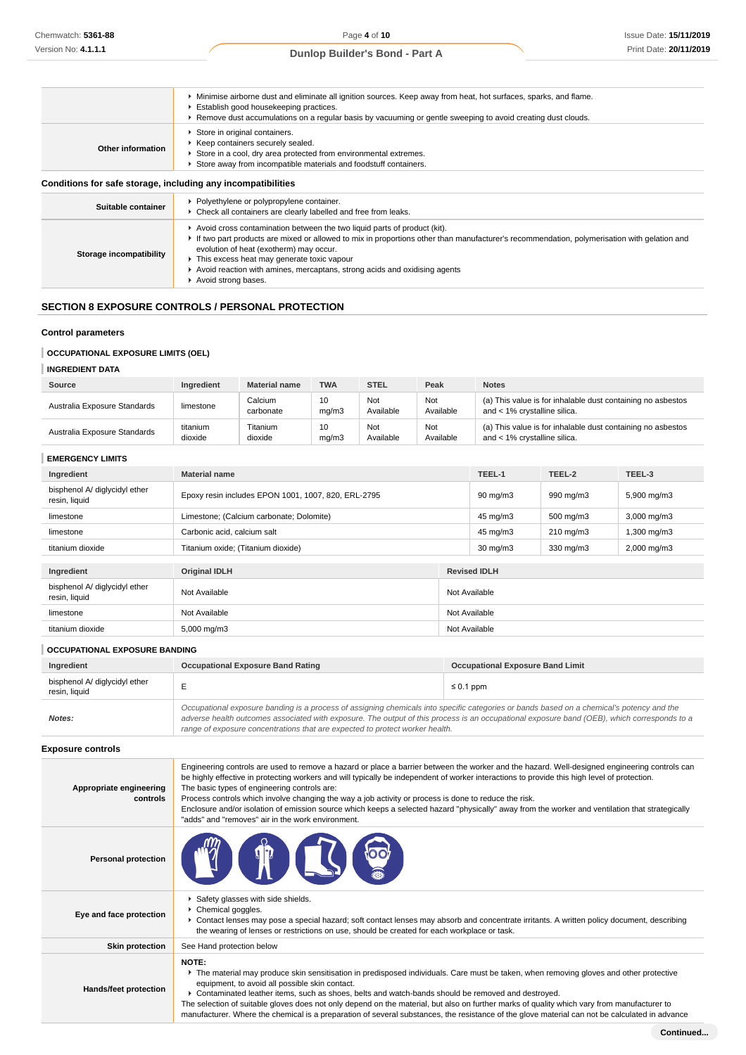|                                                              | • Minimise airborne dust and eliminate all ignition sources. Keep away from heat, hot surfaces, sparks, and flame.<br>Establish good housekeeping practices.<br>► Remove dust accumulations on a regular basis by vacuuming or gentle sweeping to avoid creating dust clouds. |
|--------------------------------------------------------------|-------------------------------------------------------------------------------------------------------------------------------------------------------------------------------------------------------------------------------------------------------------------------------|
| Other information                                            | Store in original containers.<br>▶ Keep containers securely sealed.<br>Store in a cool, dry area protected from environmental extremes.<br>Store away from incompatible materials and foodstuff containers.                                                                   |
| Conditions for safe storage, including any incompatibilities |                                                                                                                                                                                                                                                                               |
| Suitable container                                           | ▶ Polyethylene or polypropylene container.<br>• Check all containers are clearly labelled and free from leaks.                                                                                                                                                                |

| Suitable container      | ▶ Polyethylene or polypropylene container.<br>• Check all containers are clearly labelled and free from leaks.                                                                                                                                                                                                                                                                                                      |
|-------------------------|---------------------------------------------------------------------------------------------------------------------------------------------------------------------------------------------------------------------------------------------------------------------------------------------------------------------------------------------------------------------------------------------------------------------|
| Storage incompatibility | Avoid cross contamination between the two liquid parts of product (kit).<br>If two part products are mixed or allowed to mix in proportions other than manufacturer's recommendation, polymerisation with gelation and<br>evolution of heat (exotherm) may occur.<br>This excess heat may generate toxic vapour<br>Avoid reaction with amines, mercaptans, strong acids and oxidising agents<br>Avoid strong bases. |

# **SECTION 8 EXPOSURE CONTROLS / PERSONAL PROTECTION**

### **Control parameters**

# **OCCUPATIONAL EXPOSURE LIMITS (OEL)**

# **INGREDIENT DATA**

| Source                       | Ingredient          | <b>Material name</b> | <b>TWA</b>  | <b>STEL</b>      | Peak             | <b>Notes</b>                                                                                |
|------------------------------|---------------------|----------------------|-------------|------------------|------------------|---------------------------------------------------------------------------------------------|
| Australia Exposure Standards | limestone           | Calcium<br>carbonate | 10<br>ma/m3 | Not<br>Available | Not<br>Available | (a) This value is for inhalable dust containing no asbestos<br>and < 1% crystalline silica. |
| Australia Exposure Standards | titanium<br>dioxide | Titanium<br>dioxide  | 10<br>mq/m3 | Not<br>Available | Not<br>Available | (a) This value is for inhalable dust containing no asbestos<br>and < 1% crystalline silica. |

### **EMERGENCY LIMITS**

| Ingredient                                     | <b>Material name</b>                                |               | TEEL-1              | TEEL-2             | TEEL-3                  |
|------------------------------------------------|-----------------------------------------------------|---------------|---------------------|--------------------|-------------------------|
| bisphenol A/ diglycidyl ether<br>resin, liquid | Epoxy resin includes EPON 1001, 1007, 820, ERL-2795 |               | $90 \text{ mg/m}$   | 990 mg/m3          | 5,900 mg/m3             |
| limestone                                      | Limestone; (Calcium carbonate; Dolomite)            | 45 mg/m3      | 500 mg/m3           | 3,000 mg/m3        |                         |
| limestone                                      | Carbonic acid, calcium salt                         |               | 45 mg/m3            | $210 \text{ mg/m}$ | 1,300 mg/m3             |
| titanium dioxide                               | Titanium oxide; (Titanium dioxide)                  |               | $30 \text{ mg/m}$   | 330 mg/m3          | $2,000 \,\mathrm{mg/m}$ |
|                                                |                                                     |               |                     |                    |                         |
| Ingredient                                     | <b>Original IDLH</b>                                |               | <b>Revised IDLH</b> |                    |                         |
| bisphenol A/ diglycidyl ether<br>resin, liquid | Not Available                                       |               | Not Available       |                    |                         |
| limestone                                      | Not Available                                       |               | Not Available       |                    |                         |
| titanium dioxide                               | 5,000 mg/m3                                         | Not Available |                     |                    |                         |

# **OCCUPATIONAL EXPOSURE BANDING**

| Ingredient                                     | <b>Occupational Exposure Band Rating</b>                                                                                                                                                                                                                                                                                                                                 | <b>Occupational Exposure Band Limit</b> |
|------------------------------------------------|--------------------------------------------------------------------------------------------------------------------------------------------------------------------------------------------------------------------------------------------------------------------------------------------------------------------------------------------------------------------------|-----------------------------------------|
| bisphenol A/ diglycidyl ether<br>resin, liquid |                                                                                                                                                                                                                                                                                                                                                                          | $\leq 0.1$ ppm                          |
| Notes:                                         | Occupational exposure banding is a process of assigning chemicals into specific categories or bands based on a chemical's potency and the<br>adverse health outcomes associated with exposure. The output of this process is an occupational exposure band (OEB), which corresponds to a<br>range of exposure concentrations that are expected to protect worker health. |                                         |

# **Exposure controls**

| Appropriate engineering<br>controls | Engineering controls are used to remove a hazard or place a barrier between the worker and the hazard. Well-designed engineering controls can<br>be highly effective in protecting workers and will typically be independent of worker interactions to provide this high level of protection.<br>The basic types of engineering controls are:<br>Process controls which involve changing the way a job activity or process is done to reduce the risk.<br>Enclosure and/or isolation of emission source which keeps a selected hazard "physically" away from the worker and ventilation that strategically<br>"adds" and "removes" air in the work environment. |
|-------------------------------------|-----------------------------------------------------------------------------------------------------------------------------------------------------------------------------------------------------------------------------------------------------------------------------------------------------------------------------------------------------------------------------------------------------------------------------------------------------------------------------------------------------------------------------------------------------------------------------------------------------------------------------------------------------------------|
| <b>Personal protection</b>          | $\mathbb{T}$                                                                                                                                                                                                                                                                                                                                                                                                                                                                                                                                                                                                                                                    |
| Eye and face protection             | Safety glasses with side shields.<br>Chemical goggles.<br>► Contact lenses may pose a special hazard; soft contact lenses may absorb and concentrate irritants. A written policy document, describing<br>the wearing of lenses or restrictions on use, should be created for each workplace or task.                                                                                                                                                                                                                                                                                                                                                            |
| <b>Skin protection</b>              | See Hand protection below                                                                                                                                                                                                                                                                                                                                                                                                                                                                                                                                                                                                                                       |
| Hands/feet protection               | <b>NOTE:</b><br>The material may produce skin sensitisation in predisposed individuals. Care must be taken, when removing gloves and other protective<br>equipment, to avoid all possible skin contact.<br>▶ Contaminated leather items, such as shoes, belts and watch-bands should be removed and destroyed.<br>The selection of suitable gloves does not only depend on the material, but also on further marks of quality which vary from manufacturer to<br>manufacturer. Where the chemical is a preparation of several substances, the resistance of the glove material can not be calculated in advance                                                 |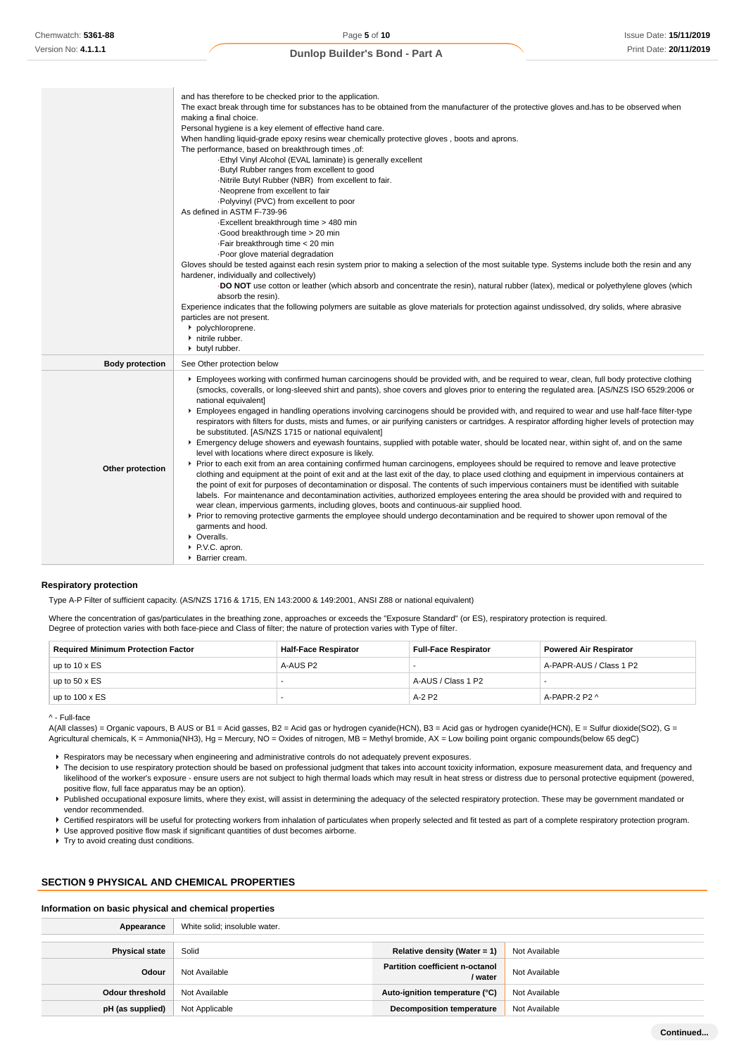|                        | and has therefore to be checked prior to the application.<br>The exact break through time for substances has to be obtained from the manufacturer of the protective gloves and has to be observed when<br>making a final choice.<br>Personal hygiene is a key element of effective hand care.<br>When handling liquid-grade epoxy resins wear chemically protective gloves, boots and aprons.<br>The performance, based on breakthrough times ,of:<br>-Ethyl Vinyl Alcohol (EVAL laminate) is generally excellent<br>-Butyl Rubber ranges from excellent to good<br>-Nitrile Butyl Rubber (NBR) from excellent to fair.<br>·Neoprene from excellent to fair<br>-Polyvinyl (PVC) from excellent to poor<br>As defined in ASTM F-739-96<br>Excellent breakthrough time > 480 min<br>Good breakthrough time > 20 min<br>·Fair breakthrough time < 20 min<br>·Poor glove material degradation<br>Gloves should be tested against each resin system prior to making a selection of the most suitable type. Systems include both the resin and any<br>hardener, individually and collectively)<br><b>DO NOT</b> use cotton or leather (which absorb and concentrate the resin), natural rubber (latex), medical or polyethylene gloves (which<br>absorb the resin).<br>Experience indicates that the following polymers are suitable as glove materials for protection against undissolved, dry solids, where abrasive                                                                                                                                                                                                                                                                                                                                                                   |
|------------------------|------------------------------------------------------------------------------------------------------------------------------------------------------------------------------------------------------------------------------------------------------------------------------------------------------------------------------------------------------------------------------------------------------------------------------------------------------------------------------------------------------------------------------------------------------------------------------------------------------------------------------------------------------------------------------------------------------------------------------------------------------------------------------------------------------------------------------------------------------------------------------------------------------------------------------------------------------------------------------------------------------------------------------------------------------------------------------------------------------------------------------------------------------------------------------------------------------------------------------------------------------------------------------------------------------------------------------------------------------------------------------------------------------------------------------------------------------------------------------------------------------------------------------------------------------------------------------------------------------------------------------------------------------------------------------------------------------------------------------------------------------------------------------------|
|                        | particles are not present.<br>polychloroprene.                                                                                                                                                                                                                                                                                                                                                                                                                                                                                                                                                                                                                                                                                                                                                                                                                                                                                                                                                                                                                                                                                                                                                                                                                                                                                                                                                                                                                                                                                                                                                                                                                                                                                                                                     |
|                        | nitrile rubber.<br>butyl rubber.                                                                                                                                                                                                                                                                                                                                                                                                                                                                                                                                                                                                                                                                                                                                                                                                                                                                                                                                                                                                                                                                                                                                                                                                                                                                                                                                                                                                                                                                                                                                                                                                                                                                                                                                                   |
| <b>Body protection</b> | See Other protection below                                                                                                                                                                                                                                                                                                                                                                                                                                                                                                                                                                                                                                                                                                                                                                                                                                                                                                                                                                                                                                                                                                                                                                                                                                                                                                                                                                                                                                                                                                                                                                                                                                                                                                                                                         |
| Other protection       | Employees working with confirmed human carcinogens should be provided with, and be required to wear, clean, full body protective clothing<br>(smocks, coveralls, or long-sleeved shirt and pants), shoe covers and gloves prior to entering the regulated area. [AS/NZS ISO 6529:2006 or<br>national equivalent]<br>Employees engaged in handling operations involving carcinogens should be provided with, and required to wear and use half-face filter-type<br>respirators with filters for dusts, mists and fumes, or air purifying canisters or cartridges. A respirator affording higher levels of protection may<br>be substituted. [AS/NZS 1715 or national equivalent]<br>Emergency deluge showers and eyewash fountains, supplied with potable water, should be located near, within sight of, and on the same<br>level with locations where direct exposure is likely.<br>▶ Prior to each exit from an area containing confirmed human carcinogens, employees should be required to remove and leave protective<br>clothing and equipment at the point of exit and at the last exit of the day, to place used clothing and equipment in impervious containers at<br>the point of exit for purposes of decontamination or disposal. The contents of such impervious containers must be identified with suitable<br>labels. For maintenance and decontamination activities, authorized employees entering the area should be provided with and required to<br>wear clean, impervious garments, including gloves, boots and continuous-air supplied hood.<br>▶ Prior to removing protective garments the employee should undergo decontamination and be required to shower upon removal of the<br>garments and hood.<br>• Overalls.<br>▶ P.V.C. apron.<br>▶ Barrier cream. |

#### **Respiratory protection**

Type A-P Filter of sufficient capacity. (AS/NZS 1716 & 1715, EN 143:2000 & 149:2001, ANSI Z88 or national equivalent)

Where the concentration of gas/particulates in the breathing zone, approaches or exceeds the "Exposure Standard" (or ES), respiratory protection is required. Degree of protection varies with both face-piece and Class of filter; the nature of protection varies with Type of filter.

| <b>Required Minimum Protection Factor</b> | <b>Half-Face Respirator</b> | <b>Full-Face Respirator</b> | <b>Powered Air Respirator</b> |
|-------------------------------------------|-----------------------------|-----------------------------|-------------------------------|
| up to $10 \times ES$                      | A-AUS P2                    |                             | A-PAPR-AUS / Class 1 P2       |
| up to $50 \times ES$                      |                             | A-AUS / Class 1 P2          |                               |
| up to $100 \times ES$                     |                             | $A-2$ P <sub>2</sub>        | A-PAPR-2 P2 $\land$           |

^ - Full-face

A(All classes) = Organic vapours, B AUS or B1 = Acid gasses, B2 = Acid gas or hydrogen cyanide(HCN), B3 = Acid gas or hydrogen cyanide(HCN), E = Sulfur dioxide(SO2), G = Agricultural chemicals, K = Ammonia(NH3), Hg = Mercury, NO = Oxides of nitrogen, MB = Methyl bromide, AX = Low boiling point organic compounds(below 65 degC)

- Respirators may be necessary when engineering and administrative controls do not adequately prevent exposures.
- The decision to use respiratory protection should be based on professional judgment that takes into account toxicity information, exposure measurement data, and frequency and likelihood of the worker's exposure - ensure users are not subject to high thermal loads which may result in heat stress or distress due to personal protective equipment (powered, positive flow, full face apparatus may be an option).

Published occupational exposure limits, where they exist, will assist in determining the adequacy of the selected respiratory protection. These may be government mandated or vendor recommended.

▶ Certified respirators will be useful for protecting workers from inhalation of particulates when properly selected and fit tested as part of a complete respiratory protection program.

Use approved positive flow mask if significant quantities of dust becomes airborne.

▶ Try to avoid creating dust conditions.

# **SECTION 9 PHYSICAL AND CHEMICAL PROPERTIES**

#### **Information on basic physical and chemical properties**

| Appearance             | White solid; insoluble water. |                                                   |               |  |
|------------------------|-------------------------------|---------------------------------------------------|---------------|--|
| <b>Physical state</b>  | Solid                         | Relative density (Water = 1)                      | Not Available |  |
| Odour                  | Not Available                 | <b>Partition coefficient n-octanol</b><br>/ water | Not Available |  |
| <b>Odour threshold</b> | Not Available                 | Auto-ignition temperature (°C)                    | Not Available |  |
| pH (as supplied)       | Not Applicable                | <b>Decomposition temperature</b>                  | Not Available |  |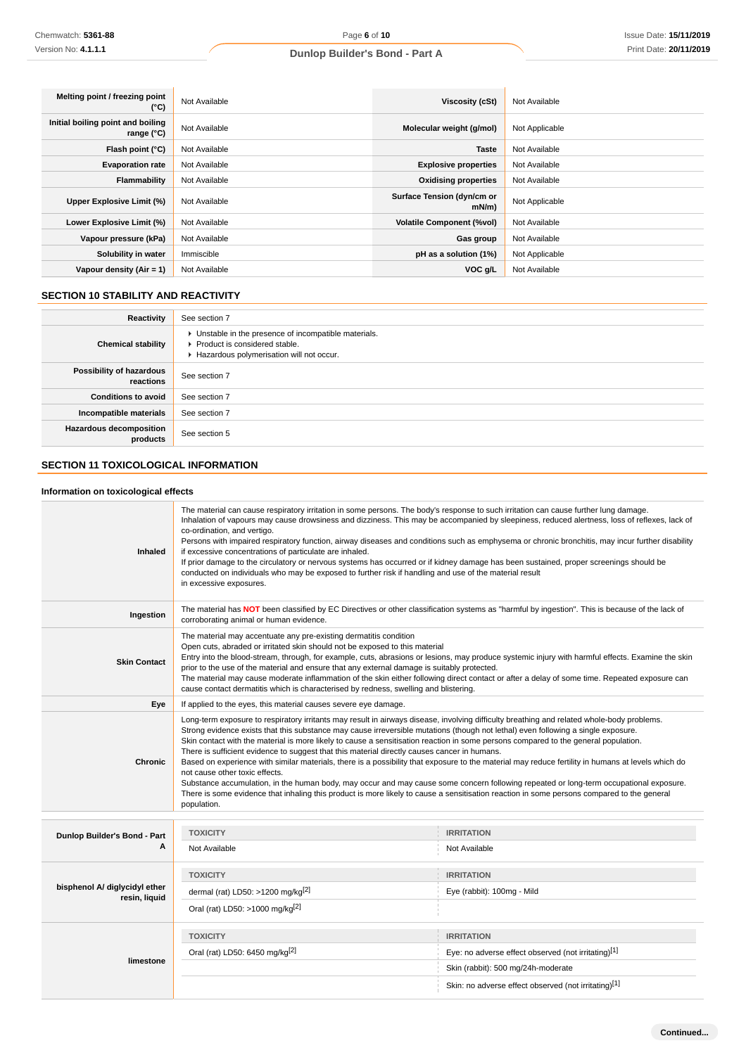| Melting point / freezing point<br>(°C)          | Not Available | Viscosity (cSt)                        | Not Available  |
|-------------------------------------------------|---------------|----------------------------------------|----------------|
| Initial boiling point and boiling<br>range (°C) | Not Available | Molecular weight (g/mol)               | Not Applicable |
| Flash point (°C)                                | Not Available | <b>Taste</b>                           | Not Available  |
| <b>Evaporation rate</b>                         | Not Available | <b>Explosive properties</b>            | Not Available  |
| Flammability                                    | Not Available | <b>Oxidising properties</b>            | Not Available  |
| Upper Explosive Limit (%)                       | Not Available | Surface Tension (dyn/cm or<br>$mN/m$ ) | Not Applicable |
| Lower Explosive Limit (%)                       | Not Available | <b>Volatile Component (%vol)</b>       | Not Available  |
| Vapour pressure (kPa)                           | Not Available | Gas group                              | Not Available  |
| Solubility in water                             | Immiscible    | pH as a solution (1%)                  | Not Applicable |
| Vapour density $(Air = 1)$                      | Not Available | VOC g/L                                | Not Available  |

# **SECTION 10 STABILITY AND REACTIVITY**

| Reactivity                                 | See section 7                                                                                                                        |
|--------------------------------------------|--------------------------------------------------------------------------------------------------------------------------------------|
| <b>Chemical stability</b>                  | • Unstable in the presence of incompatible materials.<br>▶ Product is considered stable.<br>Hazardous polymerisation will not occur. |
| Possibility of hazardous<br>reactions      | See section 7                                                                                                                        |
| <b>Conditions to avoid</b>                 | See section 7                                                                                                                        |
| Incompatible materials                     | See section 7                                                                                                                        |
| <b>Hazardous decomposition</b><br>products | See section 5                                                                                                                        |

# **SECTION 11 TOXICOLOGICAL INFORMATION**

# **Information on toxicological effects**

| Inhaled                       | The material can cause respiratory irritation in some persons. The body's response to such irritation can cause further lung damage.<br>co-ordination, and vertigo.<br>if excessive concentrations of particulate are inhaled.<br>If prior damage to the circulatory or nervous systems has occurred or if kidney damage has been sustained, proper screenings should be<br>conducted on individuals who may be exposed to further risk if handling and use of the material result<br>in excessive exposures.                                                                                                                                                                                                                                                                                                                                                                                                                                                                                                         | Inhalation of vapours may cause drowsiness and dizziness. This may be accompanied by sleepiness, reduced alertness, loss of reflexes, lack of<br>Persons with impaired respiratory function, airway diseases and conditions such as emphysema or chronic bronchitis, may incur further disability  |  |
|-------------------------------|-----------------------------------------------------------------------------------------------------------------------------------------------------------------------------------------------------------------------------------------------------------------------------------------------------------------------------------------------------------------------------------------------------------------------------------------------------------------------------------------------------------------------------------------------------------------------------------------------------------------------------------------------------------------------------------------------------------------------------------------------------------------------------------------------------------------------------------------------------------------------------------------------------------------------------------------------------------------------------------------------------------------------|----------------------------------------------------------------------------------------------------------------------------------------------------------------------------------------------------------------------------------------------------------------------------------------------------|--|
| Ingestion                     | corroborating animal or human evidence.                                                                                                                                                                                                                                                                                                                                                                                                                                                                                                                                                                                                                                                                                                                                                                                                                                                                                                                                                                               | The material has NOT been classified by EC Directives or other classification systems as "harmful by ingestion". This is because of the lack of                                                                                                                                                    |  |
| <b>Skin Contact</b>           | The material may accentuate any pre-existing dermatitis condition<br>Open cuts, abraded or irritated skin should not be exposed to this material<br>prior to the use of the material and ensure that any external damage is suitably protected.<br>cause contact dermatitis which is characterised by redness, swelling and blistering.                                                                                                                                                                                                                                                                                                                                                                                                                                                                                                                                                                                                                                                                               | Entry into the blood-stream, through, for example, cuts, abrasions or lesions, may produce systemic injury with harmful effects. Examine the skin<br>The material may cause moderate inflammation of the skin either following direct contact or after a delay of some time. Repeated exposure can |  |
| Eye                           | If applied to the eyes, this material causes severe eye damage.                                                                                                                                                                                                                                                                                                                                                                                                                                                                                                                                                                                                                                                                                                                                                                                                                                                                                                                                                       |                                                                                                                                                                                                                                                                                                    |  |
| <b>Chronic</b>                | Long-term exposure to respiratory irritants may result in airways disease, involving difficulty breathing and related whole-body problems.<br>Strong evidence exists that this substance may cause irreversible mutations (though not lethal) even following a single exposure.<br>Skin contact with the material is more likely to cause a sensitisation reaction in some persons compared to the general population.<br>There is sufficient evidence to suggest that this material directly causes cancer in humans.<br>Based on experience with similar materials, there is a possibility that exposure to the material may reduce fertility in humans at levels which do<br>not cause other toxic effects.<br>Substance accumulation, in the human body, may occur and may cause some concern following repeated or long-term occupational exposure.<br>There is some evidence that inhaling this product is more likely to cause a sensitisation reaction in some persons compared to the general<br>population. |                                                                                                                                                                                                                                                                                                    |  |
|                               |                                                                                                                                                                                                                                                                                                                                                                                                                                                                                                                                                                                                                                                                                                                                                                                                                                                                                                                                                                                                                       |                                                                                                                                                                                                                                                                                                    |  |
| Dunlop Builder's Bond - Part  | <b>TOXICITY</b>                                                                                                                                                                                                                                                                                                                                                                                                                                                                                                                                                                                                                                                                                                                                                                                                                                                                                                                                                                                                       | <b>IRRITATION</b>                                                                                                                                                                                                                                                                                  |  |
| A                             | Not Available                                                                                                                                                                                                                                                                                                                                                                                                                                                                                                                                                                                                                                                                                                                                                                                                                                                                                                                                                                                                         | Not Available                                                                                                                                                                                                                                                                                      |  |
|                               | <b>TOXICITY</b>                                                                                                                                                                                                                                                                                                                                                                                                                                                                                                                                                                                                                                                                                                                                                                                                                                                                                                                                                                                                       | <b>IRRITATION</b>                                                                                                                                                                                                                                                                                  |  |
| bisphenol A/ diglycidyl ether | dermal (rat) LD50: >1200 mg/kg $[2]$                                                                                                                                                                                                                                                                                                                                                                                                                                                                                                                                                                                                                                                                                                                                                                                                                                                                                                                                                                                  | Eye (rabbit): 100mg - Mild                                                                                                                                                                                                                                                                         |  |
| resin, liquid                 | Oral (rat) LD50: >1000 mg/kg <sup>[2]</sup>                                                                                                                                                                                                                                                                                                                                                                                                                                                                                                                                                                                                                                                                                                                                                                                                                                                                                                                                                                           |                                                                                                                                                                                                                                                                                                    |  |
|                               | <b>TOXICITY</b>                                                                                                                                                                                                                                                                                                                                                                                                                                                                                                                                                                                                                                                                                                                                                                                                                                                                                                                                                                                                       | <b>IRRITATION</b>                                                                                                                                                                                                                                                                                  |  |
|                               | Oral (rat) LD50: 6450 mg/kg[2]                                                                                                                                                                                                                                                                                                                                                                                                                                                                                                                                                                                                                                                                                                                                                                                                                                                                                                                                                                                        | Eye: no adverse effect observed (not irritating)[1]                                                                                                                                                                                                                                                |  |
| limestone                     |                                                                                                                                                                                                                                                                                                                                                                                                                                                                                                                                                                                                                                                                                                                                                                                                                                                                                                                                                                                                                       | Skin (rabbit): 500 mg/24h-moderate                                                                                                                                                                                                                                                                 |  |
|                               |                                                                                                                                                                                                                                                                                                                                                                                                                                                                                                                                                                                                                                                                                                                                                                                                                                                                                                                                                                                                                       | Skin: no adverse effect observed (not irritating)[1]                                                                                                                                                                                                                                               |  |
|                               |                                                                                                                                                                                                                                                                                                                                                                                                                                                                                                                                                                                                                                                                                                                                                                                                                                                                                                                                                                                                                       |                                                                                                                                                                                                                                                                                                    |  |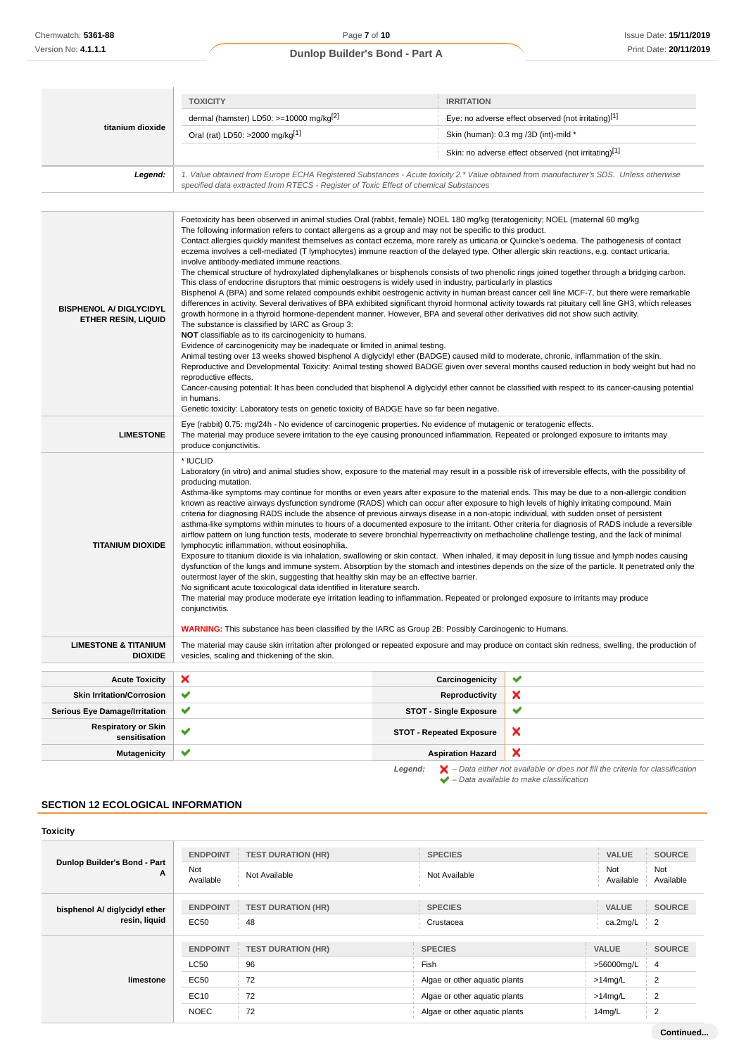|                                                                 | <b>TOXICITY</b>                                                                                                                                                                                                                                                                                                                                                                                                                                                                                                                                                                                                                                                                                                                                                                                                                                                                                                                                                                                                                                                                                                                                                                                                                                                                                                                                                                                                                                                                                                                                                                                                                                                                                                                                                              | <b>IRRITATION</b>               |                                                                                                                                                                                                                                                                                                  |
|-----------------------------------------------------------------|------------------------------------------------------------------------------------------------------------------------------------------------------------------------------------------------------------------------------------------------------------------------------------------------------------------------------------------------------------------------------------------------------------------------------------------------------------------------------------------------------------------------------------------------------------------------------------------------------------------------------------------------------------------------------------------------------------------------------------------------------------------------------------------------------------------------------------------------------------------------------------------------------------------------------------------------------------------------------------------------------------------------------------------------------------------------------------------------------------------------------------------------------------------------------------------------------------------------------------------------------------------------------------------------------------------------------------------------------------------------------------------------------------------------------------------------------------------------------------------------------------------------------------------------------------------------------------------------------------------------------------------------------------------------------------------------------------------------------------------------------------------------------|---------------------------------|--------------------------------------------------------------------------------------------------------------------------------------------------------------------------------------------------------------------------------------------------------------------------------------------------|
| titanium dioxide                                                | dermal (hamster) LD50: >=10000 mg/kg[2]<br>Eye: no adverse effect observed (not irritating)[1]                                                                                                                                                                                                                                                                                                                                                                                                                                                                                                                                                                                                                                                                                                                                                                                                                                                                                                                                                                                                                                                                                                                                                                                                                                                                                                                                                                                                                                                                                                                                                                                                                                                                               |                                 |                                                                                                                                                                                                                                                                                                  |
|                                                                 | Oral (rat) LD50: >2000 mg/kg[1]                                                                                                                                                                                                                                                                                                                                                                                                                                                                                                                                                                                                                                                                                                                                                                                                                                                                                                                                                                                                                                                                                                                                                                                                                                                                                                                                                                                                                                                                                                                                                                                                                                                                                                                                              |                                 | Skin (human): 0.3 mg /3D (int)-mild *                                                                                                                                                                                                                                                            |
|                                                                 |                                                                                                                                                                                                                                                                                                                                                                                                                                                                                                                                                                                                                                                                                                                                                                                                                                                                                                                                                                                                                                                                                                                                                                                                                                                                                                                                                                                                                                                                                                                                                                                                                                                                                                                                                                              |                                 | Skin: no adverse effect observed (not irritating)[1]                                                                                                                                                                                                                                             |
| Legend:                                                         | 1. Value obtained from Europe ECHA Registered Substances - Acute toxicity 2.* Value obtained from manufacturer's SDS. Unless otherwise<br>specified data extracted from RTECS - Register of Toxic Effect of chemical Substances                                                                                                                                                                                                                                                                                                                                                                                                                                                                                                                                                                                                                                                                                                                                                                                                                                                                                                                                                                                                                                                                                                                                                                                                                                                                                                                                                                                                                                                                                                                                              |                                 |                                                                                                                                                                                                                                                                                                  |
|                                                                 |                                                                                                                                                                                                                                                                                                                                                                                                                                                                                                                                                                                                                                                                                                                                                                                                                                                                                                                                                                                                                                                                                                                                                                                                                                                                                                                                                                                                                                                                                                                                                                                                                                                                                                                                                                              |                                 |                                                                                                                                                                                                                                                                                                  |
| <b>BISPHENOL A/ DIGLYCIDYL</b><br><b>ETHER RESIN, LIQUID</b>    | Foetoxicity has been observed in animal studies Oral (rabbit, female) NOEL 180 mg/kg (teratogenicity; NOEL (maternal 60 mg/kg)<br>The following information refers to contact allergens as a group and may not be specific to this product.<br>Contact allergies quickly manifest themselves as contact eczema, more rarely as urticaria or Quincke's oedema. The pathogenesis of contact<br>eczema involves a cell-mediated (T lymphocytes) immune reaction of the delayed type. Other allergic skin reactions, e.g. contact urticaria,<br>involve antibody-mediated immune reactions.<br>The chemical structure of hydroxylated diphenylalkanes or bisphenols consists of two phenolic rings joined together through a bridging carbon.<br>This class of endocrine disruptors that mimic oestrogens is widely used in industry, particularly in plastics<br>Bisphenol A (BPA) and some related compounds exhibit oestrogenic activity in human breast cancer cell line MCF-7, but there were remarkable<br>differences in activity. Several derivatives of BPA exhibited significant thyroid hormonal activity towards rat pituitary cell line GH3, which releases<br>growth hormone in a thyroid hormone-dependent manner. However, BPA and several other derivatives did not show such activity.<br>The substance is classified by IARC as Group 3:<br>NOT classifiable as to its carcinogenicity to humans.<br>Evidence of carcinogenicity may be inadequate or limited in animal testing.<br>Animal testing over 13 weeks showed bisphenol A diglycidyl ether (BADGE) caused mild to moderate, chronic, inflammation of the skin.<br>reproductive effects.<br>in humans.<br>Genetic toxicity: Laboratory tests on genetic toxicity of BADGE have so far been negative. |                                 | Reproductive and Developmental Toxicity: Animal testing showed BADGE given over several months caused reduction in body weight but had no<br>Cancer-causing potential: It has been concluded that bisphenol A diglycidyl ether cannot be classified with respect to its cancer-causing potential |
| <b>LIMESTONE</b>                                                | Eye (rabbit) 0.75: mg/24h - No evidence of carcinogenic properties. No evidence of mutagenic or teratogenic effects.<br>The material may produce severe irritation to the eye causing pronounced inflammation. Repeated or prolonged exposure to irritants may<br>produce conjunctivitis.                                                                                                                                                                                                                                                                                                                                                                                                                                                                                                                                                                                                                                                                                                                                                                                                                                                                                                                                                                                                                                                                                                                                                                                                                                                                                                                                                                                                                                                                                    |                                 |                                                                                                                                                                                                                                                                                                  |
| <b>TITANIUM DIOXIDE</b>                                         | * IUCLID<br>Laboratory (in vitro) and animal studies show, exposure to the material may result in a possible risk of irreversible effects, with the possibility of<br>producing mutation.<br>Asthma-like symptoms may continue for months or even years after exposure to the material ends. This may be due to a non-allergic condition<br>known as reactive airways dysfunction syndrome (RADS) which can occur after exposure to high levels of highly irritating compound. Main<br>criteria for diagnosing RADS include the absence of previous airways disease in a non-atopic individual, with sudden onset of persistent<br>asthma-like symptoms within minutes to hours of a documented exposure to the irritant. Other criteria for diagnosis of RADS include a reversible<br>airflow pattern on lung function tests, moderate to severe bronchial hyperreactivity on methacholine challenge testing, and the lack of minimal<br>lymphocytic inflammation, without eosinophilia.<br>Exposure to titanium dioxide is via inhalation, swallowing or skin contact. When inhaled, it may deposit in lung tissue and lymph nodes causing<br>dysfunction of the lungs and immune system. Absorption by the stomach and intestines depends on the size of the particle. It penetrated only the<br>outermost layer of the skin, suggesting that healthy skin may be an effective barrier.<br>No significant acute toxicological data identified in literature search.<br>The material may produce moderate eye irritation leading to inflammation. Repeated or prolonged exposure to irritants may produce<br>conjunctivitis.<br><b>WARNING:</b> This substance has been classified by the IARC as Group 2B: Possibly Carcinogenic to Humans.                               |                                 |                                                                                                                                                                                                                                                                                                  |
| <b>LIMESTONE &amp; TITANIUM</b>                                 | The material may cause skin irritation after prolonged or repeated exposure and may produce on contact skin redness, swelling, the production of                                                                                                                                                                                                                                                                                                                                                                                                                                                                                                                                                                                                                                                                                                                                                                                                                                                                                                                                                                                                                                                                                                                                                                                                                                                                                                                                                                                                                                                                                                                                                                                                                             |                                 |                                                                                                                                                                                                                                                                                                  |
| <b>DIOXIDE</b><br>vesicles, scaling and thickening of the skin. |                                                                                                                                                                                                                                                                                                                                                                                                                                                                                                                                                                                                                                                                                                                                                                                                                                                                                                                                                                                                                                                                                                                                                                                                                                                                                                                                                                                                                                                                                                                                                                                                                                                                                                                                                                              |                                 |                                                                                                                                                                                                                                                                                                  |
| <b>Acute Toxicity</b>                                           | ×                                                                                                                                                                                                                                                                                                                                                                                                                                                                                                                                                                                                                                                                                                                                                                                                                                                                                                                                                                                                                                                                                                                                                                                                                                                                                                                                                                                                                                                                                                                                                                                                                                                                                                                                                                            | Carcinogenicity                 | ✔                                                                                                                                                                                                                                                                                                |
| <b>Skin Irritation/Corrosion</b>                                | ✔                                                                                                                                                                                                                                                                                                                                                                                                                                                                                                                                                                                                                                                                                                                                                                                                                                                                                                                                                                                                                                                                                                                                                                                                                                                                                                                                                                                                                                                                                                                                                                                                                                                                                                                                                                            | Reproductivity                  | ×                                                                                                                                                                                                                                                                                                |
| <b>Serious Eye Damage/Irritation</b>                            | ✔                                                                                                                                                                                                                                                                                                                                                                                                                                                                                                                                                                                                                                                                                                                                                                                                                                                                                                                                                                                                                                                                                                                                                                                                                                                                                                                                                                                                                                                                                                                                                                                                                                                                                                                                                                            | <b>STOT - Single Exposure</b>   | ✔                                                                                                                                                                                                                                                                                                |
| <b>Respiratory or Skin</b><br>sensitisation                     | ✔                                                                                                                                                                                                                                                                                                                                                                                                                                                                                                                                                                                                                                                                                                                                                                                                                                                                                                                                                                                                                                                                                                                                                                                                                                                                                                                                                                                                                                                                                                                                                                                                                                                                                                                                                                            | <b>STOT - Repeated Exposure</b> | ×                                                                                                                                                                                                                                                                                                |
| <b>Mutagenicity</b>                                             | ✔                                                                                                                                                                                                                                                                                                                                                                                                                                                                                                                                                                                                                                                                                                                                                                                                                                                                                                                                                                                                                                                                                                                                                                                                                                                                                                                                                                                                                                                                                                                                                                                                                                                                                                                                                                            | <b>Aspiration Hazard</b>        | ×                                                                                                                                                                                                                                                                                                |
|                                                                 |                                                                                                                                                                                                                                                                                                                                                                                                                                                                                                                                                                                                                                                                                                                                                                                                                                                                                                                                                                                                                                                                                                                                                                                                                                                                                                                                                                                                                                                                                                                                                                                                                                                                                                                                                                              | Legend:                         | $\blacktriangleright$ - Data either not available or does not fill the criteria for classification                                                                                                                                                                                               |

# **SECTION 12 ECOLOGICAL INFORMATION**

| <b>ENDPOINT</b>  | <b>TEST DURATION (HR)</b> | <b>SPECIES</b>                | <b>VALUE</b>     | <b>SOURCE</b>    |
|------------------|---------------------------|-------------------------------|------------------|------------------|
| Not<br>Available | Not Available             | Not Available                 | Not<br>Available | Not<br>Available |
| <b>ENDPOINT</b>  | <b>TEST DURATION (HR)</b> | <b>SPECIES</b>                | <b>VALUE</b>     | <b>SOURCE</b>    |
| <b>EC50</b>      | 48                        | Crustacea                     | ca.2mg/L         | $\frac{1}{2}$    |
| <b>ENDPOINT</b>  | <b>TEST DURATION (HR)</b> | <b>SPECIES</b>                | VALUE            | <b>SOURCE</b>    |
| <b>LC50</b>      | 96                        | Fish                          | >56000mg/L       | 4                |
| EC50             | 72                        | Algae or other aquatic plants | $>14$ mg/L       | $\overline{2}$   |
| EC10             | 72                        | Algae or other aquatic plants | $>14$ mg/L       | 2                |
| <b>NOEC</b>      | 72                        | Algae or other aquatic plants | 14mg/L           | $\overline{2}$   |
|                  |                           |                               |                  |                  |

– Data available to make classification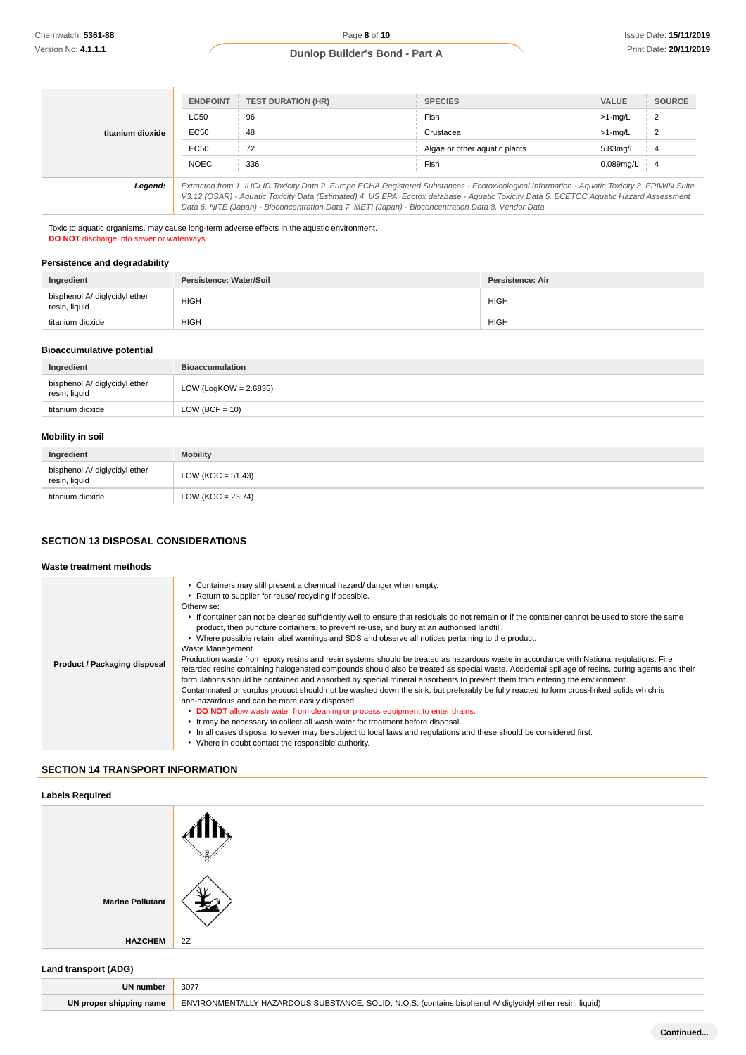|                  | <b>ENDPOINT</b> | <b>TEST DURATION (HR)</b>                                                                                                                                                                                                                                                                                                                                                                       | <b>SPECIES</b>                | <b>VALUE</b> | <b>SOURCE</b>  |
|------------------|-----------------|-------------------------------------------------------------------------------------------------------------------------------------------------------------------------------------------------------------------------------------------------------------------------------------------------------------------------------------------------------------------------------------------------|-------------------------------|--------------|----------------|
|                  | <b>LC50</b>     | 96                                                                                                                                                                                                                                                                                                                                                                                              | Fish                          | $>1$ -mg/L   | $\overline{2}$ |
| titanium dioxide | EC50            | 48                                                                                                                                                                                                                                                                                                                                                                                              | Crustacea                     | $>1$ -mg/L   | 2              |
|                  | EC50            | 72                                                                                                                                                                                                                                                                                                                                                                                              | Algae or other aquatic plants | 5.83mg/L     | 4              |
|                  | <b>NOEC</b>     | 336                                                                                                                                                                                                                                                                                                                                                                                             | Fish                          | 0.089mg/L    | -4             |
| Legend:          |                 | Extracted from 1. IUCLID Toxicity Data 2. Europe ECHA Registered Substances - Ecotoxicological Information - Aquatic Toxicity 3. EPIWIN Suite<br>V3.12 (QSAR) - Aquatic Toxicity Data (Estimated) 4. US EPA, Ecotox database - Aquatic Toxicity Data 5. ECETOC Aquatic Hazard Assessment<br>Data 6. NITE (Japan) - Bioconcentration Data 7. METI (Japan) - Bioconcentration Data 8. Vendor Data |                               |              |                |

Toxic to aquatic organisms, may cause long-term adverse effects in the aquatic environment. **DO NOT** discharge into sewer or waterways.

### **Persistence and degradability**

| Ingredient                                     | Persistence: Water/Soil | <b>Persistence: Air</b> |
|------------------------------------------------|-------------------------|-------------------------|
| bisphenol A/ diglycidyl ether<br>resin, liquid | <b>HIGH</b>             | <b>HIGH</b>             |
| titanium dioxide                               | <b>HIGH</b>             | <b>HIGH</b>             |

# **Bioaccumulative potential**

| Ingredient                                     | <b>Bioaccumulation</b>   |
|------------------------------------------------|--------------------------|
| bisphenol A/ diglycidyl ether<br>resin, liquid | LOW (LogKOW = $2.6835$ ) |
| titanium dioxide                               | LOW (BCF = $10$ )        |

# **Mobility in soil**

| Ingredient                                     | <b>Mobility</b>      |
|------------------------------------------------|----------------------|
| bisphenol A/ diglycidyl ether<br>resin, liquid | $LOW (KOC = 51.43)$  |
| titanium dioxide                               | LOW (KOC = $23.74$ ) |

# **SECTION 13 DISPOSAL CONSIDERATIONS**

# **Waste treatment methods**

| Product / Packaging disposal | • Containers may still present a chemical hazard/ danger when empty.<br>Return to supplier for reuse/ recycling if possible.<br>Otherwise:<br>If container can not be cleaned sufficiently well to ensure that residuals do not remain or if the container cannot be used to store the same<br>product, then puncture containers, to prevent re-use, and bury at an authorised landfill.<br>► Where possible retain label warnings and SDS and observe all notices pertaining to the product.<br>Waste Management<br>Production waste from epoxy resins and resin systems should be treated as hazardous waste in accordance with National regulations. Fire<br>retarded resins containing halogenated compounds should also be treated as special waste. Accidental spillage of resins, curing agents and their<br>formulations should be contained and absorbed by special mineral absorbents to prevent them from entering the environment.<br>Contaminated or surplus product should not be washed down the sink, but preferably be fully reacted to form cross-linked solids which is<br>non-hazardous and can be more easily disposed. |
|------------------------------|----------------------------------------------------------------------------------------------------------------------------------------------------------------------------------------------------------------------------------------------------------------------------------------------------------------------------------------------------------------------------------------------------------------------------------------------------------------------------------------------------------------------------------------------------------------------------------------------------------------------------------------------------------------------------------------------------------------------------------------------------------------------------------------------------------------------------------------------------------------------------------------------------------------------------------------------------------------------------------------------------------------------------------------------------------------------------------------------------------------------------------------------|
|                              | DO NOT allow wash water from cleaning or process equipment to enter drains.<br>It may be necessary to collect all wash water for treatment before disposal.<br>In all cases disposal to sewer may be subject to local laws and regulations and these should be considered first.<br>▶ Where in doubt contact the responsible authority.                                                                                                                                                                                                                                                                                                                                                                                                                                                                                                                                                                                                                                                                                                                                                                                                      |

### **SECTION 14 TRANSPORT INFORMATION**

## **Labels Required**

| <b>Marine Pollutant</b> | ับ เ |
|-------------------------|------|
| <b>HAZCHEM</b>          | 2Z   |

### **Land transport (ADG)**

| UN number               | 3077                                                                                                      |
|-------------------------|-----------------------------------------------------------------------------------------------------------|
| UN proper shipping name | ENVIRONMENTALLY HAZARDOUS SUBSTANCE, SOLID, N.O.S. (contains bisphenol A/ diglycidyl ether resin, liquid) |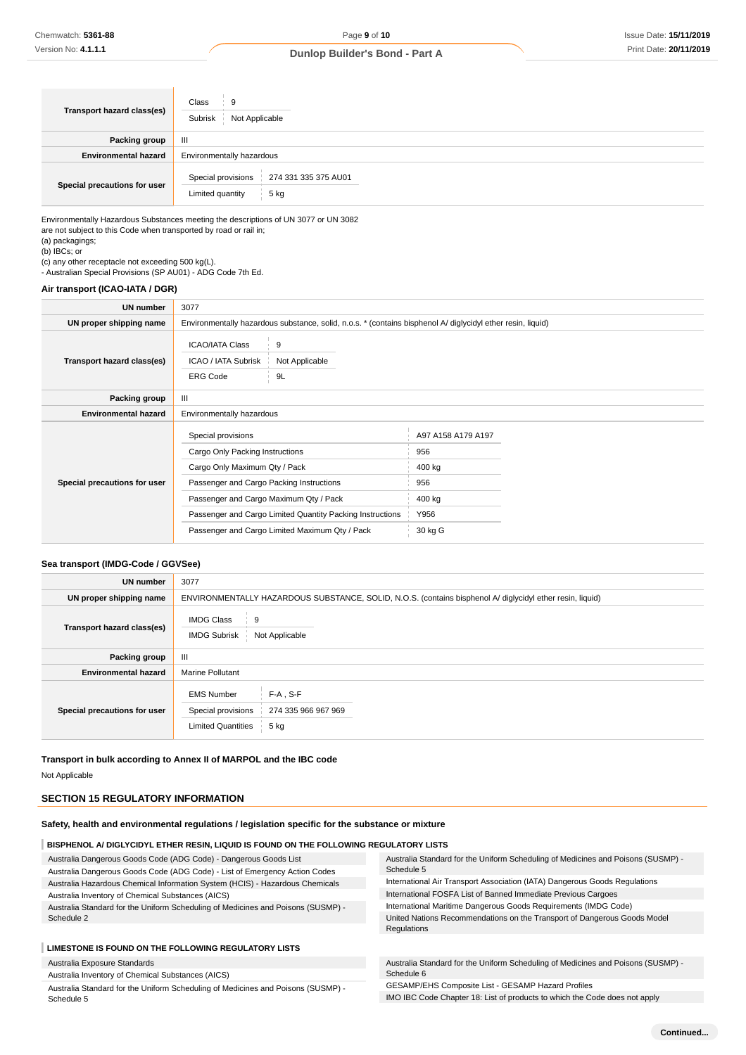| <b>Transport hazard class(es)</b> | Class<br>9<br>Not Applicable<br>Subrisk                                |  |  |
|-----------------------------------|------------------------------------------------------------------------|--|--|
| <b>Packing group</b>              | Ш                                                                      |  |  |
| <b>Environmental hazard</b>       | Environmentally hazardous                                              |  |  |
| Special precautions for user      | Special provisions<br>274 331 335 375 AU01<br>Limited quantity<br>5 kg |  |  |

Environmentally Hazardous Substances meeting the descriptions of UN 3077 or UN 3082 are not subject to this Code when transported by road or rail in;

(a) packagings; (b) IBCs; or

(c) any other receptacle not exceeding 500 kg(L). - Australian Special Provisions (SP AU01) - ADG Code 7th Ed.

#### **Air transport (ICAO-IATA / DGR)**

| UN number                    | 3077                                                                                                        |                           |                                     |  |
|------------------------------|-------------------------------------------------------------------------------------------------------------|---------------------------|-------------------------------------|--|
| UN proper shipping name      | Environmentally hazardous substance, solid, n.o.s. * (contains bisphenol A/ diglycidyl ether resin, liquid) |                           |                                     |  |
| Transport hazard class(es)   | <b>ICAO/IATA Class</b><br><b>ICAO / IATA Subrisk</b><br><b>ERG Code</b>                                     | 9<br>Not Applicable<br>9L |                                     |  |
| Packing group                | $\mathbf{III}$                                                                                              |                           |                                     |  |
| <b>Environmental hazard</b>  | Environmentally hazardous                                                                                   |                           |                                     |  |
|                              | Special provisions<br>Cargo Only Packing Instructions<br>Cargo Only Maximum Qty / Pack                      |                           | A97 A158 A179 A197<br>956<br>400 kg |  |
| Special precautions for user | Passenger and Cargo Packing Instructions                                                                    |                           | 956                                 |  |
|                              | Passenger and Cargo Maximum Qty / Pack                                                                      |                           | 400 kg                              |  |
|                              | Passenger and Cargo Limited Quantity Packing Instructions                                                   |                           | Y956                                |  |
|                              | Passenger and Cargo Limited Maximum Qty / Pack                                                              |                           | 30 kg G                             |  |

## **Sea transport (IMDG-Code / GGVSee)**

| UN number                    | 3077                                                                                                               |  |  |  |
|------------------------------|--------------------------------------------------------------------------------------------------------------------|--|--|--|
| UN proper shipping name      | ENVIRONMENTALLY HAZARDOUS SUBSTANCE, SOLID, N.O.S. (contains bisphenol A/ diglycidyl ether resin, liquid)          |  |  |  |
| Transport hazard class(es)   | <b>IMDG Class</b><br>9<br><b>IMDG Subrisk</b><br>Not Applicable                                                    |  |  |  |
| Packing group                | Ш                                                                                                                  |  |  |  |
| <b>Environmental hazard</b>  | <b>Marine Pollutant</b>                                                                                            |  |  |  |
| Special precautions for user | $F-A$ , S-F<br><b>EMS Number</b><br>Special provisions<br>274 335 966 967 969<br><b>Limited Quantities</b><br>5 kg |  |  |  |

**Transport in bulk according to Annex II of MARPOL and the IBC code**

Not Applicable

# **SECTION 15 REGULATORY INFORMATION**

### **Safety, health and environmental regulations / legislation specific for the substance or mixture**

### **BISPHENOL A/ DIGLYCIDYL ETHER RESIN, LIQUID IS FOUND ON THE FOLLOWING REGULATORY LISTS**

| Australia Dangerous Goods Code (ADG Code) - Dangerous Goods List<br>Australia Dangerous Goods Code (ADG Code) - List of Emergency Action Codes | Australia Standard for the Uniform Scheduling of Medicines and Poisons (SUSMP) -<br>Schedule 5 |  |  |  |
|------------------------------------------------------------------------------------------------------------------------------------------------|------------------------------------------------------------------------------------------------|--|--|--|
| Australia Hazardous Chemical Information System (HCIS) - Hazardous Chemicals                                                                   | International Air Transport Association (IATA) Dangerous Goods Regulations                     |  |  |  |
| Australia Inventory of Chemical Substances (AICS)                                                                                              | International FOSFA List of Banned Immediate Previous Cargoes                                  |  |  |  |
| Australia Standard for the Uniform Scheduling of Medicines and Poisons (SUSMP) -                                                               | International Maritime Dangerous Goods Requirements (IMDG Code)                                |  |  |  |
| Schedule 2                                                                                                                                     | United Nations Recommendations on the Transport of Dangerous Goods Model                       |  |  |  |
|                                                                                                                                                | Regulations                                                                                    |  |  |  |
| LIMESTONE IS FOUND ON THE FOLLOWING REGULATORY LISTS                                                                                           |                                                                                                |  |  |  |

Australia Exposure Standards

Australia Inventory of Chemical Substances (AICS)

Australia Standard for the Uniform Scheduling of Medicines and Poisons (SUSMP) - Schedule 5

Australia Standard for the Uniform Scheduling of Medicines and Poisons (SUSMP) - Schedule 6

GESAMP/EHS Composite List - GESAMP Hazard Profiles

IMO IBC Code Chapter 18: List of products to which the Code does not apply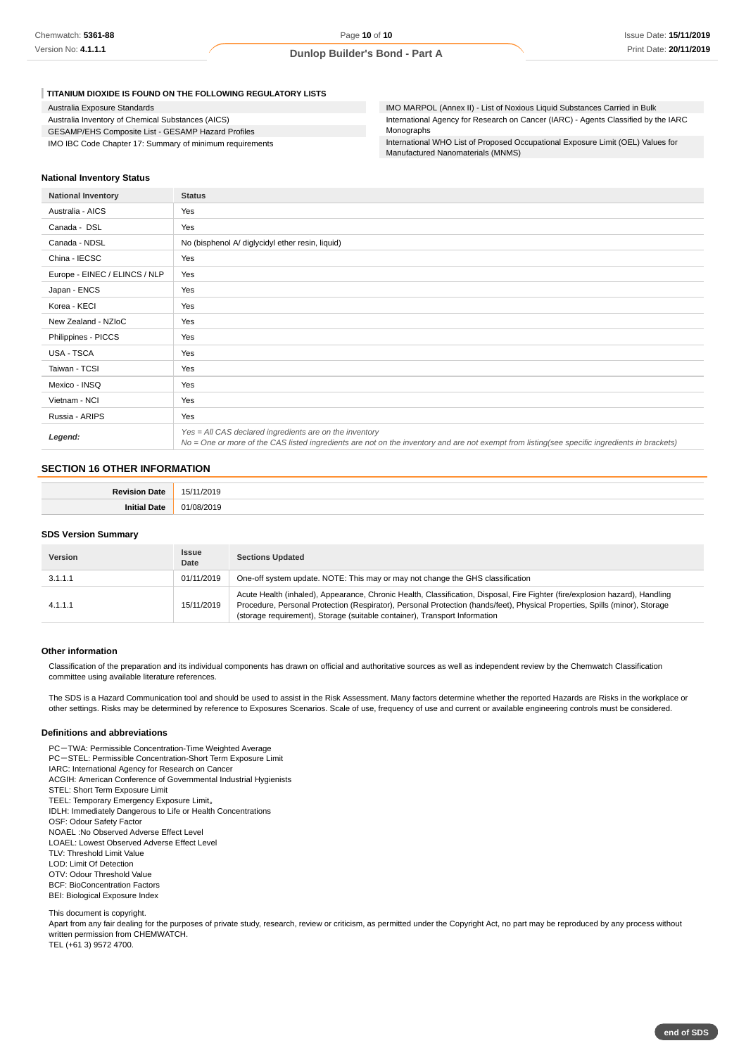#### **TITANIUM DIOXIDE IS FOUND ON THE FOLLOWING REGULATORY LISTS**

| Australia Exposure Standards                             |
|----------------------------------------------------------|
| Australia Inventory of Chemical Substances (AICS)        |
| GESAMP/EHS Composite List - GESAMP Hazard Profiles       |
| IMO IBC Code Chapter 17: Summary of minimum requirements |

IMO MARPOL (Annex II) - List of Noxious Liquid Substances Carried in Bulk International Agency for Research on Cancer (IARC) - Agents Classified by the IARC Monographs

International WHO List of Proposed Occupational Exposure Limit (OEL) Values for Manufactured Nanomaterials (MNMS)

#### **National Inventory Status**

| <b>National Inventory</b>     | <b>Status</b>                                                                                                                                                                                              |  |  |
|-------------------------------|------------------------------------------------------------------------------------------------------------------------------------------------------------------------------------------------------------|--|--|
| Australia - AICS              | Yes                                                                                                                                                                                                        |  |  |
| Canada - DSL                  | Yes                                                                                                                                                                                                        |  |  |
| Canada - NDSL                 | No (bisphenol A/ diglycidyl ether resin, liquid)                                                                                                                                                           |  |  |
| China - IECSC                 | Yes                                                                                                                                                                                                        |  |  |
| Europe - EINEC / ELINCS / NLP | Yes                                                                                                                                                                                                        |  |  |
| Japan - ENCS                  | Yes                                                                                                                                                                                                        |  |  |
| Korea - KECI                  | Yes                                                                                                                                                                                                        |  |  |
| New Zealand - NZIoC           | Yes                                                                                                                                                                                                        |  |  |
| Philippines - PICCS           | Yes                                                                                                                                                                                                        |  |  |
| USA - TSCA                    | Yes                                                                                                                                                                                                        |  |  |
| Taiwan - TCSI                 | Yes                                                                                                                                                                                                        |  |  |
| Mexico - INSQ                 | Yes                                                                                                                                                                                                        |  |  |
| Vietnam - NCI                 | Yes                                                                                                                                                                                                        |  |  |
| Russia - ARIPS                | Yes                                                                                                                                                                                                        |  |  |
| Legend:                       | $Yes = All CAS declared ingredients are on the inventory$<br>No = One or more of the CAS listed ingredients are not on the inventory and are not exempt from listing(see specific ingredients in brackets) |  |  |

### **SECTION 16 OTHER INFORMATION**

| <b>BALL</b> |  |
|-------------|--|
|             |  |

#### **SDS Version Summary**

| Version | <b>Issue</b><br>Date | <b>Sections Updated</b>                                                                                                                                                                                                                                                                                                                   |  |  |
|---------|----------------------|-------------------------------------------------------------------------------------------------------------------------------------------------------------------------------------------------------------------------------------------------------------------------------------------------------------------------------------------|--|--|
| 3.1.1.1 | 01/11/2019           | One-off system update. NOTE: This may or may not change the GHS classification                                                                                                                                                                                                                                                            |  |  |
| 4.1.1.1 | 15/11/2019           | Acute Health (inhaled), Appearance, Chronic Health, Classification, Disposal, Fire Fighter (fire/explosion hazard), Handling<br>Procedure, Personal Protection (Respirator), Personal Protection (hands/feet), Physical Properties, Spills (minor), Storage<br>(storage requirement), Storage (suitable container), Transport Information |  |  |

#### **Other information**

Classification of the preparation and its individual components has drawn on official and authoritative sources as well as independent review by the Chemwatch Classification committee using available literature references.

The SDS is a Hazard Communication tool and should be used to assist in the Risk Assessment. Many factors determine whether the reported Hazards are Risks in the workplace or other settings. Risks may be determined by reference to Exposures Scenarios. Scale of use, frequency of use and current or available engineering controls must be considered.

#### **Definitions and abbreviations**

PC-TWA: Permissible Concentration-Time Weighted Average PC-STEL: Permissible Concentration-Short Term Exposure Limit IARC: International Agency for Research on Cancer ACGIH: American Conference of Governmental Industrial Hygienists STEL: Short Term Exposure Limit TEEL: Temporary Emergency Exposure Limit。 IDLH: Immediately Dangerous to Life or Health Concentrations OSF: Odour Safety Factor NOAEL :No Observed Adverse Effect Level LOAEL: Lowest Observed Adverse Effect Level TLV: Threshold Limit Value LOD: Limit Of Detection OTV: Odour Threshold Value BCF: BioConcentration Factors BEI: Biological Exposure Index

This document is copyright.

Apart from any fair dealing for the purposes of private study, research, review or criticism, as permitted under the Copyright Act, no part may be reproduced by any process without written permission from CHEMWATCH. TEL (+61 3) 9572 4700.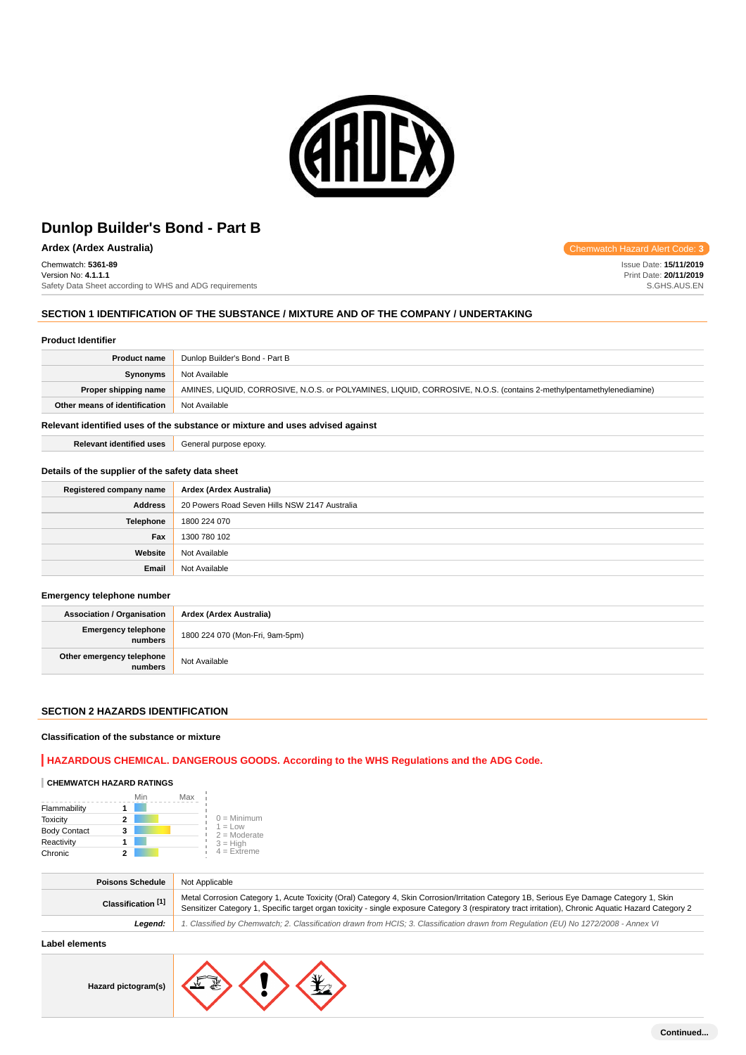

**Ardex (Ardex Australia) Chemwatch Hazard Alert Code: 3 Chemwatch Hazard Alert Code: 3** 

Chemwatch: **5361-89**

Version No: **4.1.1.1** Safety Data Sheet according to WHS and ADG requirements

# **SECTION 1 IDENTIFICATION OF THE SUBSTANCE / MIXTURE AND OF THE COMPANY / UNDERTAKING**

### **Product Identifier**

| <b>Product name</b>           | Dunlop Builder's Bond - Part B                                                                                      |
|-------------------------------|---------------------------------------------------------------------------------------------------------------------|
| Synonyms                      | Not Available                                                                                                       |
| Proper shipping name          | AMINES, LIQUID, CORROSIVE, N.O.S. or POLYAMINES, LIQUID, CORROSIVE, N.O.S. (contains 2-methylpentamethylenediamine) |
| Other means of identification | Not Available                                                                                                       |
|                               |                                                                                                                     |

### **Relevant identified uses of the substance or mixture and uses advised against**

**Relevant identified uses** General purpose epoxy.

### **Details of the supplier of the safety data sheet**

| Registered company name | Ardex (Ardex Australia)                       |
|-------------------------|-----------------------------------------------|
| <b>Address</b>          | 20 Powers Road Seven Hills NSW 2147 Australia |
| Telephone               | 1800 224 070                                  |
| Fax                     | 1300 780 102                                  |
| Website                 | Not Available                                 |
| Email                   | Not Available                                 |

### **Emergency telephone number**

| <b>Association / Organisation</b>      | Ardex (Ardex Australia)         |
|----------------------------------------|---------------------------------|
| <b>Emergency telephone</b><br>numbers, | 1800 224 070 (Mon-Fri, 9am-5pm) |
| Other emergency telephone<br>numbers   | Not Available                   |

# **SECTION 2 HAZARDS IDENTIFICATION**

#### **Classification of the substance or mixture**

# **HAZARDOUS CHEMICAL. DANGEROUS GOODS. According to the WHS Regulations and the ADG Code.**

#### **CHEMWATCH HAZARD RATINGS**

|                     | Min | Max |                                    |
|---------------------|-----|-----|------------------------------------|
| Flammability        |     |     |                                    |
| <b>Toxicity</b>     | 2   |     | $0 =$ Minimum                      |
| <b>Body Contact</b> | 3   |     | $1 = 1$ $\Omega$<br>$2 =$ Moderate |
| Reactivity          |     |     | $3 = High$                         |
| Chronic             | 2   |     | $4 =$ Extreme                      |

| <b>Poisons Schedule</b>       | Not Applicable                                                                                                                                                                                                                                                                                   |
|-------------------------------|--------------------------------------------------------------------------------------------------------------------------------------------------------------------------------------------------------------------------------------------------------------------------------------------------|
| Classification <sup>[1]</sup> | Metal Corrosion Category 1, Acute Toxicity (Oral) Category 4, Skin Corrosion/Irritation Category 1B, Serious Eye Damage Category 1, Skin<br>Sensitizer Category 1, Specific target organ toxicity - single exposure Category 3 (respiratory tract irritation), Chronic Aquatic Hazard Category 2 |
| Leaend:                       | 1. Classified by Chemwatch; 2. Classification drawn from HCIS; 3. Classification drawn from Requlation (EU) No 1272/2008 - Annex VI                                                                                                                                                              |

# **Label elements**

**Hazard pictogram(s)**



Issue Date: **15/11/2019** Print Date: **20/11/2019** S.GHS.AUS.EN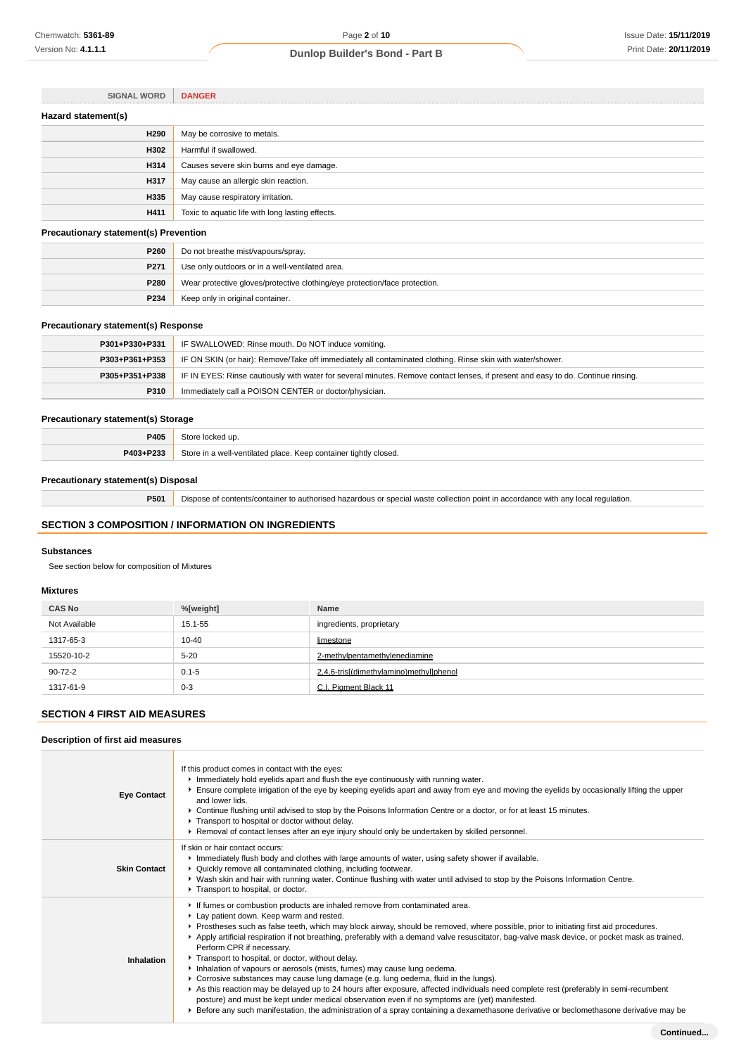| <b>SIGNAL WORD</b>                           | <b>DANGER</b>                                    |
|----------------------------------------------|--------------------------------------------------|
| Hazard statement(s)                          |                                                  |
| H290                                         | May be corrosive to metals.                      |
| H302                                         | Harmful if swallowed.                            |
| H314                                         | Causes severe skin burns and eye damage.         |
| H317                                         | May cause an allergic skin reaction.             |
| H335                                         | May cause respiratory irritation.                |
| H411                                         | Toxic to aquatic life with long lasting effects. |
| <b>Precautionary statement(s) Prevention</b> |                                                  |
| P260                                         | Do not breathe mist/vapours/spray.               |
| P271                                         | Use only outdoors or in a well-ventilated area.  |

# **Precautionary statement(s) Response**

| P301+P330+P331 | IF SWALLOWED: Rinse mouth. Do NOT induce vomiting.                                                                               |
|----------------|----------------------------------------------------------------------------------------------------------------------------------|
| P303+P361+P353 | IF ON SKIN (or hair): Remove/Take off immediately all contaminated clothing. Rinse skin with water/shower.                       |
| P305+P351+P338 | IF IN EYES: Rinse cautiously with water for several minutes. Remove contact lenses, if present and easy to do. Continue rinsing. |
| P310           | Immediately call a POISON CENTER or doctor/physician.                                                                            |
|                |                                                                                                                                  |

**P280** Wear protective gloves/protective clothing/eye protection/face protection.

# **Precautionary statement(s) Storage**

| P405      | ≌t∩r∩<br>locked up.                                                   |
|-----------|-----------------------------------------------------------------------|
| P403+P233 | Store in a well-ventilated place. Keep container tightly closed.<br>. |

# **Precautionary statement(s) Disposal**

**P501** Dispose of contents/container to authorised hazardous or special waste collection point in accordance with any local regulation.

# **SECTION 3 COMPOSITION / INFORMATION ON INGREDIENTS**

**P234** Keep only in original container.

#### **Substances**

See section below for composition of Mixtures

# **Mixtures**

| <b>CAS No</b> | %[weight] | Name                                    |
|---------------|-----------|-----------------------------------------|
| Not Available | 15.1-55   | ingredients, proprietary                |
| 1317-65-3     | $10 - 40$ | limestone                               |
| 15520-10-2    | $5 - 20$  | 2-methylpentamethylenediamine           |
| 90-72-2       | $0.1 - 5$ | 2,4,6-tris[(dimethylamino)methyl]phenol |
| 1317-61-9     | $0 - 3$   | C.I. Pigment Black 11                   |

# **SECTION 4 FIRST AID MEASURES**

# **Description of first aid measures**

| <b>Eye Contact</b>  | If this product comes in contact with the eyes:<br>Immediately hold eyelids apart and flush the eye continuously with running water.<br>Ensure complete irrigation of the eye by keeping eyelids apart and away from eye and moving the eyelids by occasionally lifting the upper<br>and lower lids.<br>► Continue flushing until advised to stop by the Poisons Information Centre or a doctor, or for at least 15 minutes.<br>Transport to hospital or doctor without delay.<br>▶ Removal of contact lenses after an eye injury should only be undertaken by skilled personnel.                                                                                                                                                                                                                                                                                                                                                                                                                                                                           |
|---------------------|-------------------------------------------------------------------------------------------------------------------------------------------------------------------------------------------------------------------------------------------------------------------------------------------------------------------------------------------------------------------------------------------------------------------------------------------------------------------------------------------------------------------------------------------------------------------------------------------------------------------------------------------------------------------------------------------------------------------------------------------------------------------------------------------------------------------------------------------------------------------------------------------------------------------------------------------------------------------------------------------------------------------------------------------------------------|
| <b>Skin Contact</b> | If skin or hair contact occurs:<br>Immediately flush body and clothes with large amounts of water, using safety shower if available.<br>• Quickly remove all contaminated clothing, including footwear.<br>▶ Wash skin and hair with running water. Continue flushing with water until advised to stop by the Poisons Information Centre.<br>Transport to hospital, or doctor.                                                                                                                                                                                                                                                                                                                                                                                                                                                                                                                                                                                                                                                                              |
| Inhalation          | If fumes or combustion products are inhaled remove from contaminated area.<br>Lay patient down. Keep warm and rested.<br>▶ Prostheses such as false teeth, which may block airway, should be removed, where possible, prior to initiating first aid procedures.<br>▶ Apply artificial respiration if not breathing, preferably with a demand valve resuscitator, bag-valve mask device, or pocket mask as trained.<br>Perform CPR if necessary.<br>Transport to hospital, or doctor, without delay.<br>Inhalation of vapours or aerosols (mists, fumes) may cause lung oedema.<br>► Corrosive substances may cause lung damage (e.g. lung oedema, fluid in the lungs).<br>As this reaction may be delayed up to 24 hours after exposure, affected individuals need complete rest (preferably in semi-recumbent<br>posture) and must be kept under medical observation even if no symptoms are (yet) manifested.<br>Exercise any such manifestation, the administration of a spray containing a dexamethasone derivative or beclomethasone derivative may be |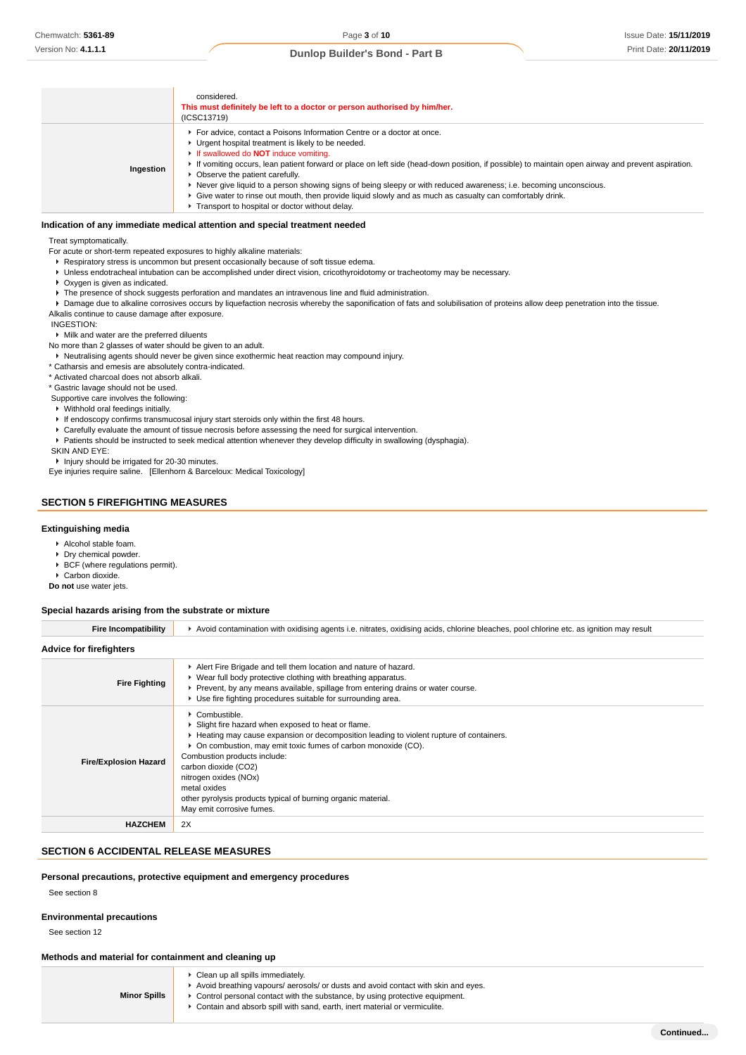|           | considered.<br>This must definitely be left to a doctor or person authorised by him/her.<br>(ICSC13719)                                                                                                                                                                                                                                                                                                                                                                                                                                                                                                                                                      |
|-----------|--------------------------------------------------------------------------------------------------------------------------------------------------------------------------------------------------------------------------------------------------------------------------------------------------------------------------------------------------------------------------------------------------------------------------------------------------------------------------------------------------------------------------------------------------------------------------------------------------------------------------------------------------------------|
| Ingestion | For advice, contact a Poisons Information Centre or a doctor at once.<br>▶ Urgent hospital treatment is likely to be needed.<br>If swallowed do <b>NOT</b> induce vomiting.<br>► If vomiting occurs, lean patient forward or place on left side (head-down position, if possible) to maintain open airway and prevent aspiration.<br>• Observe the patient carefully.<br>► Never give liquid to a person showing signs of being sleepy or with reduced awareness; i.e. becoming unconscious.<br>► Give water to rinse out mouth, then provide liquid slowly and as much as casualty can comfortably drink.<br>Transport to hospital or doctor without delay. |

### **Indication of any immediate medical attention and special treatment needed**

Treat symptomatically.

For acute or short-term repeated exposures to highly alkaline materials:

- **Respiratory stress is uncommon but present occasionally because of soft tissue edema.**
- Unless endotracheal intubation can be accomplished under direct vision, cricothyroidotomy or tracheotomy may be necessary.
- ▶ Oxygen is given as indicated.
- $\blacktriangleright$  The presence of shock suggests perforation and mandates an intravenous line and fluid administration.

**Damage due to alkaline corrosives occurs by liquefaction necrosis whereby the saponification of fats and solubilisation of proteins allow deep penetration into the tissue.** Alkalis continue to cause damage after exposure.

INGESTION:

#### Milk and water are the preferred diluents

- No more than 2 glasses of water should be given to an adult.
- Neutralising agents should never be given since exothermic heat reaction may compound injury.
- \* Catharsis and emesis are absolutely contra-indicated.
- \* Activated charcoal does not absorb alkali.
- \* Gastric lavage should not be used.
- Supportive care involves the following:
- Withhold oral feedings initially.
- If endoscopy confirms transmucosal injury start steroids only within the first 48 hours.
- Carefully evaluate the amount of tissue necrosis before assessing the need for surgical intervention.
- Patients should be instructed to seek medical attention whenever they develop difficulty in swallowing (dysphagia).
- SKIN AND EYE:

**F** Injury should be irrigated for 20-30 minutes.

Eye injuries require saline. [Ellenhorn & Barceloux: Medical Toxicology]

# **SECTION 5 FIREFIGHTING MEASURES**

## **Extinguishing media**

- Alcohol stable foam.
- Dry chemical powder.
- ▶ BCF (where regulations permit).
- Carbon dioxide.
- **Do not** use water jets.

### **Special hazards arising from the substrate or mixture**

| <b>Fire Incompatibility</b>    | ► Avoid contamination with oxidising agents i.e. nitrates, oxidising acids, chlorine bleaches, pool chlorine etc. as ignition may result                                                                                                                                                                                                                                                                                       |  |  |
|--------------------------------|--------------------------------------------------------------------------------------------------------------------------------------------------------------------------------------------------------------------------------------------------------------------------------------------------------------------------------------------------------------------------------------------------------------------------------|--|--|
| <b>Advice for firefighters</b> |                                                                                                                                                                                                                                                                                                                                                                                                                                |  |  |
| <b>Fire Fighting</b>           | Alert Fire Brigade and tell them location and nature of hazard.<br>• Wear full body protective clothing with breathing apparatus.<br>Prevent, by any means available, spillage from entering drains or water course.<br>▶ Use fire fighting procedures suitable for surrounding area.                                                                                                                                          |  |  |
| <b>Fire/Explosion Hazard</b>   | Combustible.<br>▶ Slight fire hazard when exposed to heat or flame.<br>Heating may cause expansion or decomposition leading to violent rupture of containers.<br>• On combustion, may emit toxic fumes of carbon monoxide (CO).<br>Combustion products include:<br>carbon dioxide (CO2)<br>nitrogen oxides (NOx)<br>metal oxides<br>other pyrolysis products typical of burning organic material.<br>May emit corrosive fumes. |  |  |
| <b>HAZCHEM</b>                 | 2X                                                                                                                                                                                                                                                                                                                                                                                                                             |  |  |

# **SECTION 6 ACCIDENTAL RELEASE MEASURES**

#### **Personal precautions, protective equipment and emergency procedures**

See section 8

#### **Environmental precautions**

See section 12

#### **Methods and material for containment and cleaning up**

| <b>Minor Spills</b> | • Clean up all spills immediately.<br>Avoid breathing vapours/ aerosols/ or dusts and avoid contact with skin and eyes.<br>► Control personal contact with the substance, by using protective equipment.<br>► Contain and absorb spill with sand, earth, inert material or vermiculite. |
|---------------------|-----------------------------------------------------------------------------------------------------------------------------------------------------------------------------------------------------------------------------------------------------------------------------------------|
|---------------------|-----------------------------------------------------------------------------------------------------------------------------------------------------------------------------------------------------------------------------------------------------------------------------------------|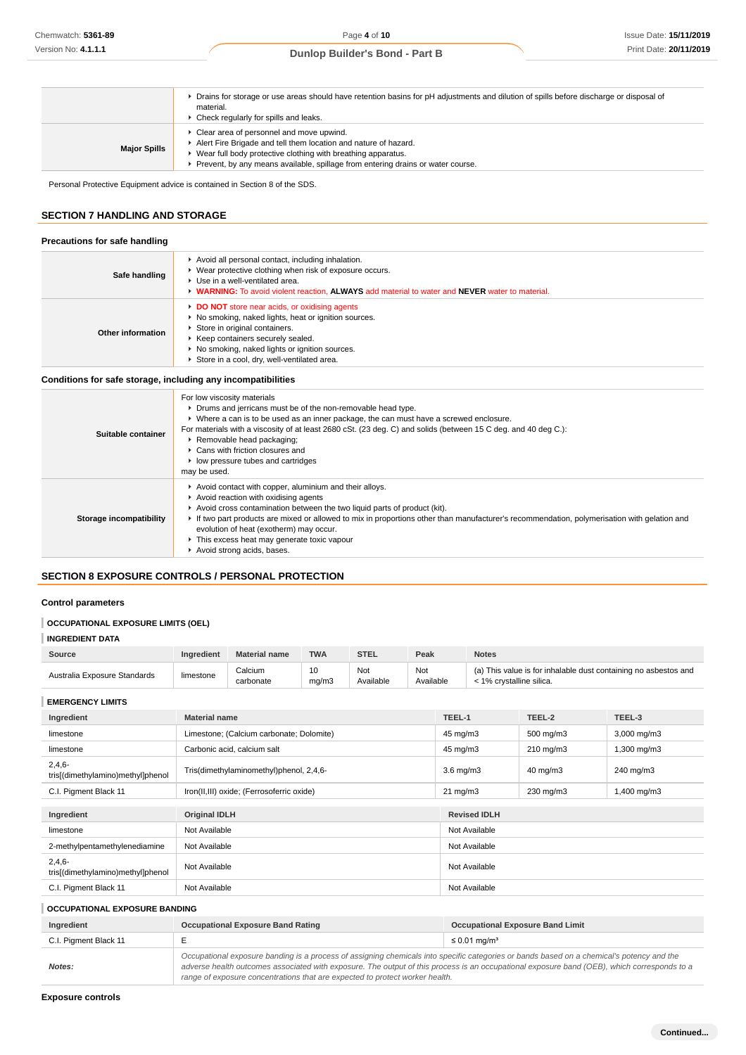|                     | ► Drains for storage or use areas should have retention basins for pH adjustments and dilution of spills before discharge or disposal of<br>material.<br>Check regularly for spills and leaks.                                                                 |
|---------------------|----------------------------------------------------------------------------------------------------------------------------------------------------------------------------------------------------------------------------------------------------------------|
| <b>Major Spills</b> | Clear area of personnel and move upwind.<br>Alert Fire Brigade and tell them location and nature of hazard.<br>Wear full body protective clothing with breathing apparatus.<br>Prevent, by any means available, spillage from entering drains or water course. |

Personal Protective Equipment advice is contained in Section 8 of the SDS.

# **SECTION 7 HANDLING AND STORAGE**

# **Precautions for safe handling**

| Safe handling     | Avoid all personal contact, including inhalation.<br>▶ Wear protective clothing when risk of exposure occurs.<br>▶ Use in a well-ventilated area.<br>• WARNING: To avoid violent reaction, ALWAYS add material to water and NEVER water to material.                           |
|-------------------|--------------------------------------------------------------------------------------------------------------------------------------------------------------------------------------------------------------------------------------------------------------------------------|
| Other information | DO NOT store near acids, or oxidising agents<br>▶ No smoking, naked lights, heat or ignition sources.<br>Store in original containers.<br>▶ Keep containers securely sealed.<br>▶ No smoking, naked lights or ignition sources.<br>Store in a cool, dry, well-ventilated area. |

### **Conditions for safe storage, including any incompatibilities**

| Suitable container      | For low viscosity materials<br>• Drums and jerricans must be of the non-removable head type.<br>▶ Where a can is to be used as an inner package, the can must have a screwed enclosure.<br>For materials with a viscosity of at least 2680 cSt. (23 deg. C) and solids (between 15 C deg. and 40 deg C.):<br>Removable head packaging;<br>▶ Cans with friction closures and<br>low pressure tubes and cartridges<br>may be used.                |
|-------------------------|-------------------------------------------------------------------------------------------------------------------------------------------------------------------------------------------------------------------------------------------------------------------------------------------------------------------------------------------------------------------------------------------------------------------------------------------------|
| Storage incompatibility | Avoid contact with copper, aluminium and their alloys.<br>Avoid reaction with oxidising agents<br>Avoid cross contamination between the two liquid parts of product (kit).<br>If two part products are mixed or allowed to mix in proportions other than manufacturer's recommendation, polymerisation with gelation and<br>evolution of heat (exotherm) may occur.<br>This excess heat may generate toxic vapour<br>Avoid strong acids, bases. |

# **SECTION 8 EXPOSURE CONTROLS / PERSONAL PROTECTION**

# **Control parameters**

# **OCCUPATIONAL EXPOSURE LIMITS (OEL)**

| <b>INGREDIENT DATA</b> |
|------------------------|
|------------------------|

| Source                       | Ingredient | <b>Material name</b> | <b>TWA</b>  | <b>STEL</b>      | Peak             | <b>Notes</b>                                                                                |
|------------------------------|------------|----------------------|-------------|------------------|------------------|---------------------------------------------------------------------------------------------|
| Australia Exposure Standards | limestone  | Calcium<br>carbonate | 10<br>ma/m3 | Not<br>Available | Not<br>Available | (a) This value is for inhalable dust containing no asbestos and<br>< 1% crystalline silica. |

**EMERGENCY LIMITS**

| Ingredient                                    | <b>Material name</b>                      | TEEL-1              | TEEL-2         | TEEL-3      |
|-----------------------------------------------|-------------------------------------------|---------------------|----------------|-------------|
| limestone                                     | Limestone; (Calcium carbonate; Dolomite)  | $45 \text{ mg/m}$ 3 | 500 mg/m3      | 3,000 mg/m3 |
| limestone                                     | Carbonic acid, calcium salt               | $45 \text{ mg/m}$ 3 | $210$ mg/m $3$ | 1,300 mg/m3 |
| $2,4,6-$<br>tris[(dimethylamino)methyl]phenol | Tris(dimethylaminomethyl)phenol, 2,4,6-   | $3.6$ mg/m $3$      | 40 mg/m3       | 240 mg/m3   |
| C.I. Pigment Black 11                         | Iron(II,III) oxide; (Ferrosoferric oxide) | $21 \text{ mg/m}$   | 230 mg/m3      | 1,400 mg/m3 |
|                                               |                                           |                     |                |             |
| Ingredient                                    | <b>Original IDLH</b>                      | <b>Revised IDLH</b> |                |             |
| limestone                                     | Not Available                             | Not Available       |                |             |
| 2-methylpentamethylenediamine                 | Not Available                             | Not Available       |                |             |
| $2,4,6-$<br>tris[(dimethylamino)methyl]phenol | Not Available                             | Not Available       |                |             |
| C.I. Pigment Black 11                         | Not Available                             | Not Available       |                |             |

# **OCCUPATIONAL EXPOSURE BANDING**

| Ingredient            | <b>Occupational Exposure Band Rating</b>                                                                                                                                                                                                                                                                                                                                 | <b>Occupational Exposure Band Limit</b> |
|-----------------------|--------------------------------------------------------------------------------------------------------------------------------------------------------------------------------------------------------------------------------------------------------------------------------------------------------------------------------------------------------------------------|-----------------------------------------|
| C.I. Pigment Black 11 |                                                                                                                                                                                                                                                                                                                                                                          | ≤ 0.01 mg/m <sup>3</sup>                |
| Notes:                | Occupational exposure banding is a process of assigning chemicals into specific categories or bands based on a chemical's potency and the<br>adverse health outcomes associated with exposure. The output of this process is an occupational exposure band (OEB), which corresponds to a<br>range of exposure concentrations that are expected to protect worker health. |                                         |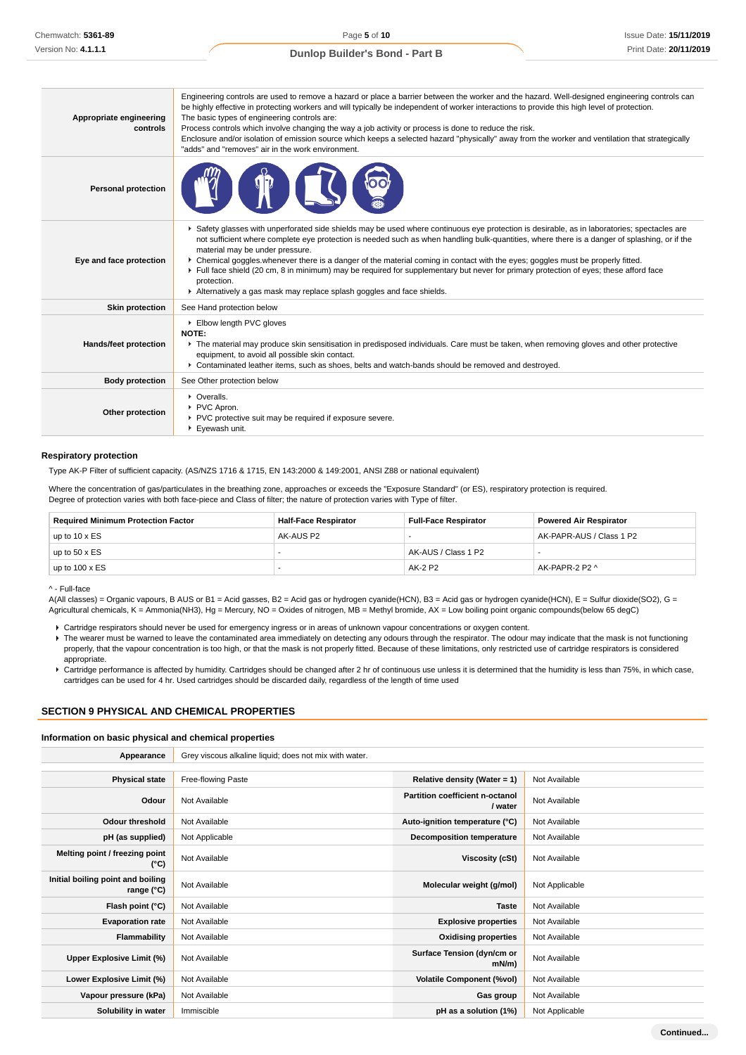| Appropriate engineering<br>controls | Engineering controls are used to remove a hazard or place a barrier between the worker and the hazard. Well-designed engineering controls can<br>be highly effective in protecting workers and will typically be independent of worker interactions to provide this high level of protection.<br>The basic types of engineering controls are:<br>Process controls which involve changing the way a job activity or process is done to reduce the risk.<br>Enclosure and/or isolation of emission source which keeps a selected hazard "physically" away from the worker and ventilation that strategically<br>"adds" and "removes" air in the work environment.                                     |
|-------------------------------------|-----------------------------------------------------------------------------------------------------------------------------------------------------------------------------------------------------------------------------------------------------------------------------------------------------------------------------------------------------------------------------------------------------------------------------------------------------------------------------------------------------------------------------------------------------------------------------------------------------------------------------------------------------------------------------------------------------|
| <b>Personal protection</b>          |                                                                                                                                                                                                                                                                                                                                                                                                                                                                                                                                                                                                                                                                                                     |
| Eye and face protection             | ▶ Safety glasses with unperforated side shields may be used where continuous eye protection is desirable, as in laboratories; spectacles are<br>not sufficient where complete eye protection is needed such as when handling bulk-quantities, where there is a danger of splashing, or if the<br>material may be under pressure.<br>▶ Chemical goggles whenever there is a danger of the material coming in contact with the eyes; goggles must be properly fitted.<br>Full face shield (20 cm, 8 in minimum) may be required for supplementary but never for primary protection of eyes; these afford face<br>protection.<br>Alternatively a gas mask may replace splash goggles and face shields. |
| <b>Skin protection</b>              | See Hand protection below                                                                                                                                                                                                                                                                                                                                                                                                                                                                                                                                                                                                                                                                           |
| Hands/feet protection               | Elbow length PVC gloves<br>NOTE:<br>• The material may produce skin sensitisation in predisposed individuals. Care must be taken, when removing gloves and other protective<br>equipment, to avoid all possible skin contact.<br>▶ Contaminated leather items, such as shoes, belts and watch-bands should be removed and destroyed.                                                                                                                                                                                                                                                                                                                                                                |
| <b>Body protection</b>              | See Other protection below                                                                                                                                                                                                                                                                                                                                                                                                                                                                                                                                                                                                                                                                          |
| Other protection                    | • Overalls.<br>PVC Apron.<br>▶ PVC protective suit may be required if exposure severe.<br>Eyewash unit.                                                                                                                                                                                                                                                                                                                                                                                                                                                                                                                                                                                             |

#### **Respiratory protection**

Type AK-P Filter of sufficient capacity. (AS/NZS 1716 & 1715, EN 143:2000 & 149:2001, ANSI Z88 or national equivalent)

Where the concentration of gas/particulates in the breathing zone, approaches or exceeds the "Exposure Standard" (or ES), respiratory protection is required. Degree of protection varies with both face-piece and Class of filter; the nature of protection varies with Type of filter.

| <b>Required Minimum Protection Factor</b> | <b>Half-Face Respirator</b> | <b>Full-Face Respirator</b> | <b>Powered Air Respirator</b> |
|-------------------------------------------|-----------------------------|-----------------------------|-------------------------------|
| up to $10 \times ES$                      | AK-AUS P2                   |                             | AK-PAPR-AUS / Class 1 P2      |
| up to $50 \times ES$                      |                             | AK-AUS / Class 1 P2         |                               |
| up to $100 \times ES$                     |                             | AK-2 P2                     | AK-PAPR-2 P2 ^                |

#### ^ - Full-face

A(All classes) = Organic vapours, B AUS or B1 = Acid gasses, B2 = Acid gas or hydrogen cyanide(HCN), B3 = Acid gas or hydrogen cyanide(HCN), E = Sulfur dioxide(SO2), G = Agricultural chemicals, K = Ammonia(NH3), Hg = Mercury, NO = Oxides of nitrogen, MB = Methyl bromide, AX = Low boiling point organic compounds(below 65 degC)

Cartridge respirators should never be used for emergency ingress or in areas of unknown vapour concentrations or oxygen content.

▶ The wearer must be warned to leave the contaminated area immediately on detecting any odours through the respirator. The odour may indicate that the mask is not functioning properly, that the vapour concentration is too high, or that the mask is not properly fitted. Because of these limitations, only restricted use of cartridge respirators is considered appropriate.

Cartridge performance is affected by humidity. Cartridges should be changed after 2 hr of continuous use unless it is determined that the humidity is less than 75%, in which case, cartridges can be used for 4 hr. Used cartridges should be discarded daily, regardless of the length of time used

# **SECTION 9 PHYSICAL AND CHEMICAL PROPERTIES**

#### **Information on basic physical and chemical properties**

| Appearance                                      | Grey viscous alkaline liquid; does not mix with water. |                                                   |                |
|-------------------------------------------------|--------------------------------------------------------|---------------------------------------------------|----------------|
|                                                 |                                                        |                                                   |                |
| <b>Physical state</b>                           | Free-flowing Paste                                     | Relative density (Water = 1)                      | Not Available  |
| Odour                                           | Not Available                                          | <b>Partition coefficient n-octanol</b><br>/ water | Not Available  |
| <b>Odour threshold</b>                          | Not Available                                          | Auto-ignition temperature (°C)                    | Not Available  |
| pH (as supplied)                                | Not Applicable                                         | <b>Decomposition temperature</b>                  | Not Available  |
| Melting point / freezing point<br>(°C)          | Not Available                                          | Viscosity (cSt)                                   | Not Available  |
| Initial boiling point and boiling<br>range (°C) | Not Available                                          | Molecular weight (g/mol)                          | Not Applicable |
| Flash point (°C)                                | Not Available                                          | <b>Taste</b>                                      | Not Available  |
| <b>Evaporation rate</b>                         | Not Available                                          | <b>Explosive properties</b>                       | Not Available  |
| <b>Flammability</b>                             | Not Available                                          | <b>Oxidising properties</b>                       | Not Available  |
| Upper Explosive Limit (%)                       | Not Available                                          | Surface Tension (dyn/cm or<br>mN/m                | Not Available  |
| Lower Explosive Limit (%)                       | Not Available                                          | <b>Volatile Component (%vol)</b>                  | Not Available  |
| Vapour pressure (kPa)                           | Not Available                                          | Gas group                                         | Not Available  |
| Solubility in water                             | Immiscible                                             | pH as a solution (1%)                             | Not Applicable |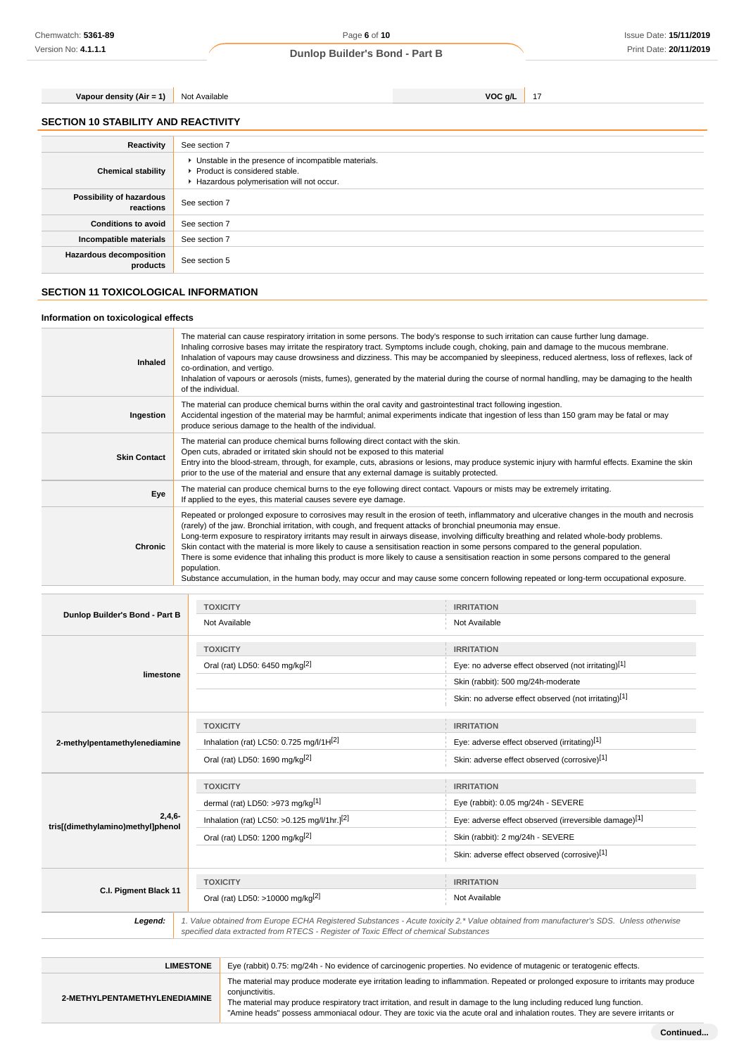# **Vapour density (Air = 1)** Not Available **VOC g/L** 17

|  | <b>SECTION 10 STABILITY AND REACTIVITY</b> |
|--|--------------------------------------------|

| Reactivity                                 | See section 7                                                                                                                        |
|--------------------------------------------|--------------------------------------------------------------------------------------------------------------------------------------|
| <b>Chemical stability</b>                  | • Unstable in the presence of incompatible materials.<br>▶ Product is considered stable.<br>Hazardous polymerisation will not occur. |
| Possibility of hazardous<br>reactions      | See section 7                                                                                                                        |
| <b>Conditions to avoid</b>                 | See section 7                                                                                                                        |
| Incompatible materials                     | See section 7                                                                                                                        |
| <b>Hazardous decomposition</b><br>products | See section 5                                                                                                                        |

# **SECTION 11 TOXICOLOGICAL INFORMATION**

# **Information on toxicological effects**

| Inhaled             | The material can cause respiratory irritation in some persons. The body's response to such irritation can cause further lung damage.<br>Inhaling corrosive bases may irritate the respiratory tract. Symptoms include cough, choking, pain and damage to the mucous membrane.<br>Inhalation of vapours may cause drowsiness and dizziness. This may be accompanied by sleepiness, reduced alertness, loss of reflexes, lack of<br>co-ordination, and vertigo.<br>Inhalation of vapours or aerosols (mists, fumes), generated by the material during the course of normal handling, may be damaging to the health<br>of the individual.                                                                                                                                                                                                                      |
|---------------------|-------------------------------------------------------------------------------------------------------------------------------------------------------------------------------------------------------------------------------------------------------------------------------------------------------------------------------------------------------------------------------------------------------------------------------------------------------------------------------------------------------------------------------------------------------------------------------------------------------------------------------------------------------------------------------------------------------------------------------------------------------------------------------------------------------------------------------------------------------------|
| Ingestion           | The material can produce chemical burns within the oral cavity and gastrointestinal tract following ingestion.<br>Accidental ingestion of the material may be harmful; animal experiments indicate that ingestion of less than 150 gram may be fatal or may<br>produce serious damage to the health of the individual.                                                                                                                                                                                                                                                                                                                                                                                                                                                                                                                                      |
| <b>Skin Contact</b> | The material can produce chemical burns following direct contact with the skin.<br>Open cuts, abraded or irritated skin should not be exposed to this material<br>Entry into the blood-stream, through, for example, cuts, abrasions or lesions, may produce systemic injury with harmful effects. Examine the skin<br>prior to the use of the material and ensure that any external damage is suitably protected.                                                                                                                                                                                                                                                                                                                                                                                                                                          |
| Eye                 | The material can produce chemical burns to the eye following direct contact. Vapours or mists may be extremely irritating.<br>If applied to the eyes, this material causes severe eye damage.                                                                                                                                                                                                                                                                                                                                                                                                                                                                                                                                                                                                                                                               |
| Chronic             | Repeated or prolonged exposure to corrosives may result in the erosion of teeth, inflammatory and ulcerative changes in the mouth and necrosis<br>(rarely) of the jaw. Bronchial irritation, with cough, and frequent attacks of bronchial pneumonia may ensue.<br>Long-term exposure to respiratory irritants may result in airways disease, involving difficulty breathing and related whole-body problems.<br>Skin contact with the material is more likely to cause a sensitisation reaction in some persons compared to the general population.<br>There is some evidence that inhaling this product is more likely to cause a sensitisation reaction in some persons compared to the general<br>population.<br>Substance accumulation, in the human body, may occur and may cause some concern following repeated or long-term occupational exposure. |

|                                   | <b>TOXICITY</b>                                                                       | <b>IRRITATION</b>                                                                                                                      |
|-----------------------------------|---------------------------------------------------------------------------------------|----------------------------------------------------------------------------------------------------------------------------------------|
| Dunlop Builder's Bond - Part B    | Not Available                                                                         | Not Available                                                                                                                          |
|                                   | <b>TOXICITY</b>                                                                       | <b>IRRITATION</b>                                                                                                                      |
|                                   | Oral (rat) LD50: 6450 mg/kg <sup>[2]</sup>                                            | Eye: no adverse effect observed (not irritating)[1]                                                                                    |
| limestone                         |                                                                                       | Skin (rabbit): 500 mg/24h-moderate                                                                                                     |
|                                   |                                                                                       | Skin: no adverse effect observed (not irritating)[1]                                                                                   |
|                                   | <b>TOXICITY</b>                                                                       | <b>IRRITATION</b>                                                                                                                      |
| 2-methylpentamethylenediamine     | Inhalation (rat) LC50: $0.725$ mg/l/1H <sup>[2]</sup>                                 | Eye: adverse effect observed (irritating)[1]                                                                                           |
|                                   | Oral (rat) LD50: 1690 mg/kg[2]                                                        | Skin: adverse effect observed (corrosive)[1]                                                                                           |
|                                   | <b>TOXICITY</b>                                                                       | <b>IRRITATION</b>                                                                                                                      |
|                                   |                                                                                       |                                                                                                                                        |
|                                   | dermal (rat) LD50: >973 mg/kg[1]                                                      | Eye (rabbit): 0.05 mg/24h - SEVERE                                                                                                     |
| $2,4,6-$                          | Inhalation (rat) LC50: >0.125 mg/l/1hr.] <sup>[2]</sup>                               | Eye: adverse effect observed (irreversible damage)[1]                                                                                  |
| tris[(dimethylamino)methyl]phenol | Oral (rat) LD50: 1200 mg/kg <sup>[2]</sup>                                            | Skin (rabbit): 2 mg/24h - SEVERE                                                                                                       |
|                                   |                                                                                       | Skin: adverse effect observed (corrosive)[1]                                                                                           |
|                                   | <b>TOXICITY</b>                                                                       | <b>IRRITATION</b>                                                                                                                      |
| C.I. Pigment Black 11             | Oral (rat) LD50: >10000 mg/kg <sup>[2]</sup>                                          | Not Available                                                                                                                          |
| Legend:                           | specified data extracted from RTECS - Register of Toxic Effect of chemical Substances | 1. Value obtained from Europe ECHA Registered Substances - Acute toxicity 2.* Value obtained from manufacturer's SDS. Unless otherwise |

| <b>LIMESTONE</b>              | Eye (rabbit) 0.75: mg/24h - No evidence of carcinogenic properties. No evidence of mutagenic or teratogenic effects.                                                                                                                                                                                                                                                                                              |
|-------------------------------|-------------------------------------------------------------------------------------------------------------------------------------------------------------------------------------------------------------------------------------------------------------------------------------------------------------------------------------------------------------------------------------------------------------------|
| 2-METHYLPENTAMETHYLENEDIAMINE | The material may produce moderate eye irritation leading to inflammation. Repeated or prolonged exposure to irritants may produce<br>conjunctivitis.<br>The material may produce respiratory tract irritation, and result in damage to the lung including reduced lung function.<br>"Amine heads" possess ammoniacal odour. They are toxic via the acute oral and inhalation routes. They are severe irritants or |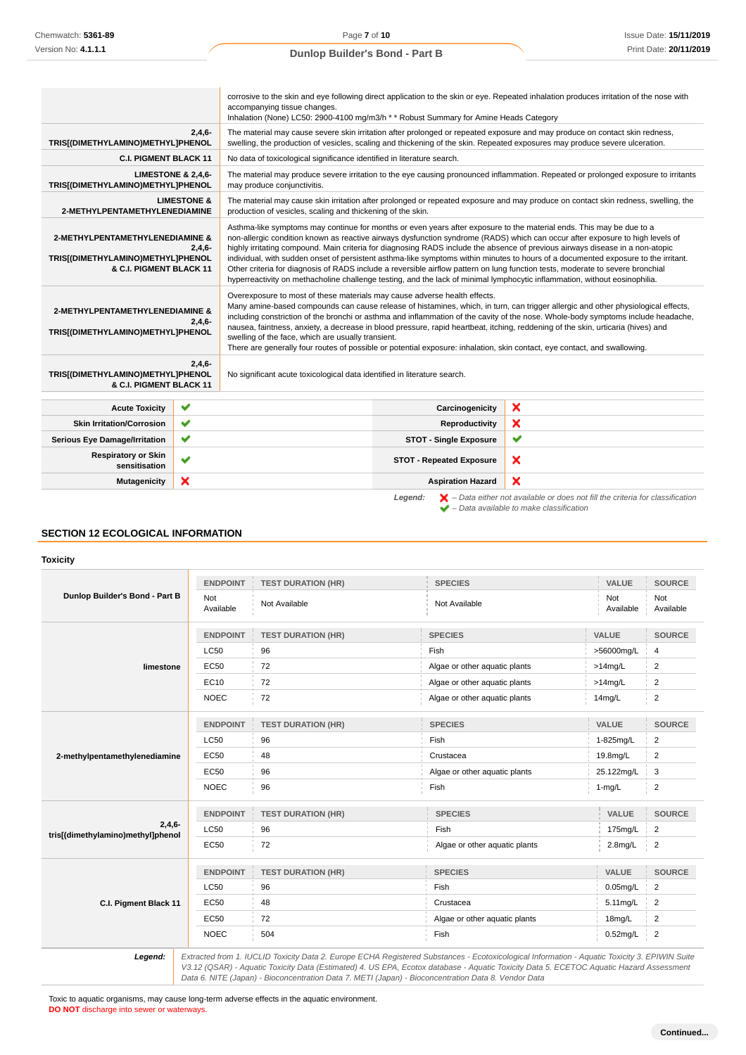|                                                                                                             |                        | corrosive to the skin and eye following direct application to the skin or eye. Repeated inhalation produces irritation of the nose with<br>accompanying tissue changes.<br>Inhalation (None) LC50: 2900-4100 mg/m3/h * * Robust Summary for Amine Heads Category                                                                                                                                                                                                                                                                                                                                                                                                                                                                                                                             |                                                                                                                                    |                                                                                                                                                                                                                                                            |  |
|-------------------------------------------------------------------------------------------------------------|------------------------|----------------------------------------------------------------------------------------------------------------------------------------------------------------------------------------------------------------------------------------------------------------------------------------------------------------------------------------------------------------------------------------------------------------------------------------------------------------------------------------------------------------------------------------------------------------------------------------------------------------------------------------------------------------------------------------------------------------------------------------------------------------------------------------------|------------------------------------------------------------------------------------------------------------------------------------|------------------------------------------------------------------------------------------------------------------------------------------------------------------------------------------------------------------------------------------------------------|--|
| TRIS[(DIMETHYLAMINO)METHYL]PHENOL                                                                           | 2,4,6                  |                                                                                                                                                                                                                                                                                                                                                                                                                                                                                                                                                                                                                                                                                                                                                                                              |                                                                                                                                    | The material may cause severe skin irritation after prolonged or repeated exposure and may produce on contact skin redness,<br>swelling, the production of vesicles, scaling and thickening of the skin. Repeated exposures may produce severe ulceration. |  |
| <b>C.I. PIGMENT BLACK 11</b>                                                                                |                        | No data of toxicological significance identified in literature search.                                                                                                                                                                                                                                                                                                                                                                                                                                                                                                                                                                                                                                                                                                                       |                                                                                                                                    |                                                                                                                                                                                                                                                            |  |
| <b>LIMESTONE &amp; 2,4,6-</b><br>TRIS[(DIMETHYLAMINO)METHYL]PHENOL                                          |                        | may produce conjunctivitis.                                                                                                                                                                                                                                                                                                                                                                                                                                                                                                                                                                                                                                                                                                                                                                  | The material may produce severe irritation to the eye causing pronounced inflammation. Repeated or prolonged exposure to irritants |                                                                                                                                                                                                                                                            |  |
| 2-METHYLPENTAMETHYLENEDIAMINE                                                                               | <b>LIMESTONE &amp;</b> | production of vesicles, scaling and thickening of the skin.                                                                                                                                                                                                                                                                                                                                                                                                                                                                                                                                                                                                                                                                                                                                  |                                                                                                                                    | The material may cause skin irritation after prolonged or repeated exposure and may produce on contact skin redness, swelling, the                                                                                                                         |  |
| 2-METHYLPENTAMETHYLENEDIAMINE &<br>$2,4,6-$<br>TRIS[(DIMETHYLAMINO)METHYL]PHENOL<br>& C.I. PIGMENT BLACK 11 |                        | Asthma-like symptoms may continue for months or even years after exposure to the material ends. This may be due to a<br>non-allergic condition known as reactive airways dysfunction syndrome (RADS) which can occur after exposure to high levels of<br>highly irritating compound. Main criteria for diagnosing RADS include the absence of previous airways disease in a non-atopic<br>individual, with sudden onset of persistent asthma-like symptoms within minutes to hours of a documented exposure to the irritant.<br>Other criteria for diagnosis of RADS include a reversible airflow pattern on lung function tests, moderate to severe bronchial<br>hyperreactivity on methacholine challenge testing, and the lack of minimal lymphocytic inflammation, without eosinophilia. |                                                                                                                                    |                                                                                                                                                                                                                                                            |  |
| 2-METHYLPENTAMETHYLENEDIAMINE &<br>$2,4,6-$<br>TRIS[(DIMETHYLAMINO)METHYL]PHENOL                            |                        | Overexposure to most of these materials may cause adverse health effects.<br>Many amine-based compounds can cause release of histamines, which, in turn, can trigger allergic and other physiological effects,<br>including constriction of the bronchi or asthma and inflammation of the cavity of the nose. Whole-body symptoms include headache,<br>nausea, faintness, anxiety, a decrease in blood pressure, rapid heartbeat, itching, reddening of the skin, urticaria (hives) and<br>swelling of the face, which are usually transient.<br>There are generally four routes of possible or potential exposure: inhalation, skin contact, eye contact, and swallowing.                                                                                                                   |                                                                                                                                    |                                                                                                                                                                                                                                                            |  |
| $2,4,6-$<br>TRIS[(DIMETHYLAMINO)METHYL]PHENOL<br>& C.I. PIGMENT BLACK 11                                    |                        | No significant acute toxicological data identified in literature search.                                                                                                                                                                                                                                                                                                                                                                                                                                                                                                                                                                                                                                                                                                                     |                                                                                                                                    |                                                                                                                                                                                                                                                            |  |
| <b>Acute Toxicity</b>                                                                                       | ✔                      |                                                                                                                                                                                                                                                                                                                                                                                                                                                                                                                                                                                                                                                                                                                                                                                              | Carcinogenicity                                                                                                                    | ×                                                                                                                                                                                                                                                          |  |
| <b>Skin Irritation/Corrosion</b>                                                                            | ✔                      |                                                                                                                                                                                                                                                                                                                                                                                                                                                                                                                                                                                                                                                                                                                                                                                              | Reproductivity                                                                                                                     | ×                                                                                                                                                                                                                                                          |  |
| <b>Serious Eye Damage/Irritation</b>                                                                        | ✔                      |                                                                                                                                                                                                                                                                                                                                                                                                                                                                                                                                                                                                                                                                                                                                                                                              | <b>STOT - Single Exposure</b>                                                                                                      | ✔                                                                                                                                                                                                                                                          |  |
| <b>Respiratory or Skin</b><br>sensitisation                                                                 | ✔                      |                                                                                                                                                                                                                                                                                                                                                                                                                                                                                                                                                                                                                                                                                                                                                                                              | <b>STOT - Repeated Exposure</b>                                                                                                    | ×                                                                                                                                                                                                                                                          |  |
| <b>Mutagenicity</b>                                                                                         | ×                      |                                                                                                                                                                                                                                                                                                                                                                                                                                                                                                                                                                                                                                                                                                                                                                                              | <b>Aspiration Hazard</b>                                                                                                           | ×                                                                                                                                                                                                                                                          |  |
|                                                                                                             |                        |                                                                                                                                                                                                                                                                                                                                                                                                                                                                                                                                                                                                                                                                                                                                                                                              | Legend:                                                                                                                            | $\blacktriangleright$ - Data either not available or does not fill the criteria for classification<br>$\blacktriangleright$ - Data available to make classification                                                                                        |  |

# **SECTION 12 ECOLOGICAL INFORMATION**

#### **Toxicity**

| Dunlop Builder's Bond - Part B                | <b>ENDPOINT</b>  | <b>TEST DURATION (HR)</b> | <b>SPECIES</b>                | VALUE            | <b>SOURCE</b>    |
|-----------------------------------------------|------------------|---------------------------|-------------------------------|------------------|------------------|
|                                               | Not<br>Available | Not Available             | Not Available                 | Not<br>Available | Not<br>Available |
|                                               | <b>ENDPOINT</b>  | <b>TEST DURATION (HR)</b> | <b>SPECIES</b>                | VALUE            | <b>SOURCE</b>    |
|                                               | <b>LC50</b>      | 96                        | Fish                          | >56000mg/L       | 4                |
| limestone                                     | EC50             | 72                        | Algae or other aquatic plants | $>14$ mg/L       | $\overline{2}$   |
|                                               | EC10             | 72                        | Algae or other aquatic plants | $>14$ mg/L       | $\overline{2}$   |
|                                               | <b>NOEC</b>      | 72                        | Algae or other aquatic plants | 14mg/L           | $\overline{2}$   |
|                                               | <b>ENDPOINT</b>  | <b>TEST DURATION (HR)</b> | <b>SPECIES</b>                | <b>VALUE</b>     | <b>SOURCE</b>    |
|                                               | <b>LC50</b>      | 96                        | Fish                          | 1-825mg/L        | $\overline{2}$   |
| 2-methylpentamethylenediamine                 | EC50             | 48                        | Crustacea                     | 19.8mg/L         | $\overline{2}$   |
|                                               | <b>EC50</b>      | 96                        | Algae or other aquatic plants | 25.122mg/L       | 3                |
|                                               | <b>NOEC</b>      | 96                        | Fish                          | $1-mg/L$         | $\overline{2}$   |
|                                               | <b>ENDPOINT</b>  | <b>TEST DURATION (HR)</b> | <b>SPECIES</b>                | VALUE            | <b>SOURCE</b>    |
| $2,4,6-$<br>tris[(dimethylamino)methyl]phenol | <b>LC50</b>      | 96                        | Fish                          | 175mg/L          | $\overline{2}$   |
|                                               | EC50             | 72                        | Algae or other aquatic plants | $2.8$ mg/L       | $\overline{2}$   |
|                                               | <b>ENDPOINT</b>  | <b>TEST DURATION (HR)</b> | <b>SPECIES</b>                | <b>VALUE</b>     | <b>SOURCE</b>    |
|                                               | <b>LC50</b>      | 96                        | Fish                          | $0.05$ mg/L      | $\overline{2}$   |
| C.I. Pigment Black 11                         | EC50             | 48                        | Crustacea                     | 5.11mg/L         | $\overline{2}$   |
|                                               | EC50             | 72                        | Algae or other aquatic plants | 18mg/L           | $\overline{2}$   |
|                                               | <b>NOEC</b>      | 504                       | Fish                          | $0.52$ mg/L      | $\overline{2}$   |

V3.12 (QSAR) - Aquatic Toxicity Data (Estimated) 4. US EPA, Ecotox database - Aquatic Toxicity Data 5. ECETOC Aquatic Hazard Assessment Data 6. NITE (Japan) - Bioconcentration Data 7. METI (Japan) - Bioconcentration Data 8. Vendor Data

Toxic to aquatic organisms, may cause long-term adverse effects in the aquatic environment. **DO NOT** discharge into sewer or waterways.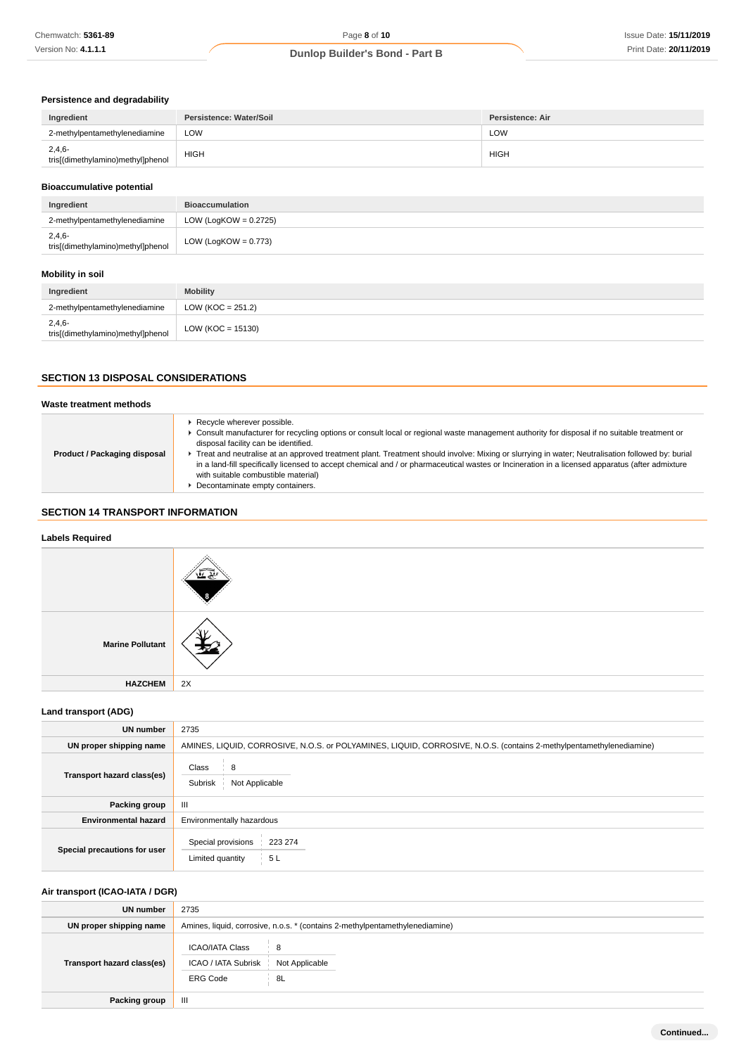### **Persistence and degradability**

| Ingredient                                    | Persistence: Water/Soil | <b>Persistence: Air</b> |
|-----------------------------------------------|-------------------------|-------------------------|
| 2-methylpentamethylenediamine                 | LOW                     | LOW                     |
| $2,4,6-$<br>tris[(dimethylamino)methyl]phenol | <b>HIGH</b>             | <b>HIGH</b>             |

### **Bioaccumulative potential**

| Ingredient                                    | <b>Bioaccumulation</b>   |
|-----------------------------------------------|--------------------------|
| 2-methylpentamethylenediamine                 | LOW (LogKOW = $0.2725$ ) |
| $2,4,6-$<br>tris[(dimethylamino)methyl]phenol | LOW (LogKOW = $0.773$ )  |

# **Mobility in soil**

| Ingredient                                    | <b>Mobility</b>     |
|-----------------------------------------------|---------------------|
| 2-methylpentamethylenediamine                 | $LOW (KOC = 251.2)$ |
| $2,4,6-$<br>tris[(dimethylamino)methyl]phenol | $LOW (KOC = 15130)$ |

# **SECTION 13 DISPOSAL CONSIDERATIONS**

#### **Waste treatment methods Product / Packaging disposal Recycle wherever possible.** Consult manufacturer for recycling options or consult local or regional waste management authority for disposal if no suitable treatment or disposal facility can be identified. Treat and neutralise at an approved treatment plant. Treatment should involve: Mixing or slurrying in water; Neutralisation followed by: burial in a land-fill specifically licensed to accept chemical and / or pharmaceutical wastes or Incineration in a licensed apparatus (after admixture with suitable combustible material) ■ Decontaminate empty containers.

# **SECTION 14 TRANSPORT INFORMATION**

| <b>Labels Required</b>  |    |
|-------------------------|----|
|                         |    |
| <b>Marine Pollutant</b> |    |
| <b>HAZCHEM</b>          | 2X |

# **Land transport (ADG)**

| <b>UN number</b>             | 2735                                                                                                                |  |  |
|------------------------------|---------------------------------------------------------------------------------------------------------------------|--|--|
| UN proper shipping name      | AMINES, LIQUID, CORROSIVE, N.O.S. or POLYAMINES, LIQUID, CORROSIVE, N.O.S. (contains 2-methylpentamethylenediamine) |  |  |
| Transport hazard class(es)   | Class<br>8<br>Subrisk<br>Not Applicable                                                                             |  |  |
| Packing group                | $\mathbf{III}$                                                                                                      |  |  |
| <b>Environmental hazard</b>  | Environmentally hazardous                                                                                           |  |  |
| Special precautions for user | Special provisions<br>223 274<br>5L<br>Limited quantity                                                             |  |  |

# **Air transport (ICAO-IATA / DGR)**

| UN number                  | 2735                                                                                          |  |  |  |
|----------------------------|-----------------------------------------------------------------------------------------------|--|--|--|
| UN proper shipping name    | Amines, liquid, corrosive, n.o.s. * (contains 2-methylpentamethylenediamine)                  |  |  |  |
| Transport hazard class(es) | <b>ICAO/IATA Class</b><br>8<br>ICAO / IATA Subrisk<br>Not Applicable<br><b>ERG Code</b><br>8L |  |  |  |
| <b>Packing group</b>       | Ш                                                                                             |  |  |  |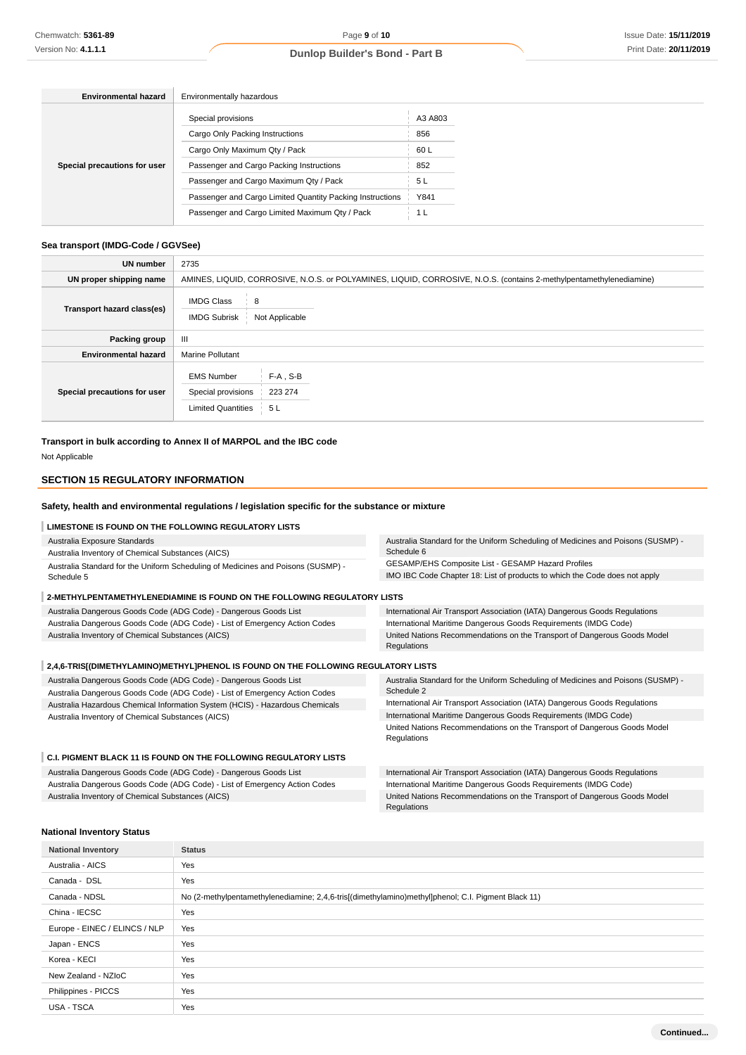| <b>Environmental hazard</b>  | Environmentally hazardous                                 |         |  |
|------------------------------|-----------------------------------------------------------|---------|--|
|                              | Special provisions                                        | A3 A803 |  |
|                              | Cargo Only Packing Instructions                           | 856     |  |
|                              | Cargo Only Maximum Qty / Pack                             | 60L     |  |
| Special precautions for user | Passenger and Cargo Packing Instructions                  | 852     |  |
|                              | Passenger and Cargo Maximum Qty / Pack                    | 5 L     |  |
|                              | Passenger and Cargo Limited Quantity Packing Instructions | Y841    |  |
|                              | Passenger and Cargo Limited Maximum Qty / Pack            | 1 L     |  |

#### **Sea transport (IMDG-Code / GGVSee)**

| <b>UN number</b>             | 2735                                                                                                                |
|------------------------------|---------------------------------------------------------------------------------------------------------------------|
| UN proper shipping name      | AMINES, LIQUID, CORROSIVE, N.O.S. or POLYAMINES, LIQUID, CORROSIVE, N.O.S. (contains 2-methylpentamethylenediamine) |
| Transport hazard class(es)   | <b>IMDG Class</b><br>8<br><b>IMDG Subrisk</b><br>Not Applicable                                                     |
| Packing group                | Ш                                                                                                                   |
| <b>Environmental hazard</b>  | <b>Marine Pollutant</b>                                                                                             |
| Special precautions for user | $F-A$ , S-B<br><b>EMS Number</b><br>223 274<br>Special provisions<br><b>Limited Quantities</b><br>5 L               |

**Transport in bulk according to Annex II of MARPOL and the IBC code**

Not Applicable

# **SECTION 15 REGULATORY INFORMATION**

#### **Safety, health and environmental regulations / legislation specific for the substance or mixture**

# **LIMESTONE IS FOUND ON THE FOLLOWING REGULATORY LISTS**

| Australia Exposure Standards                                                       | Australia Standard for the Uniform Scheduling of Medicines and Poisons (SUSMP) - |  |  |
|------------------------------------------------------------------------------------|----------------------------------------------------------------------------------|--|--|
| Australia Inventory of Chemical Substances (AICS)                                  | Schedule 6                                                                       |  |  |
| Australia Standard for the Uniform Scheduling of Medicines and Poisons (SUSMP) -   | GESAMP/EHS Composite List - GESAMP Hazard Profiles                               |  |  |
| Schedule 5                                                                         | IMO IBC Code Chapter 18: List of products to which the Code does not apply       |  |  |
| 2-METHYLPENTAMETHYLENEDIAMINE IS FOUND ON THE FOLLOWING REGULATORY LISTS           |                                                                                  |  |  |
| Australia Dangerous Goods Code (ADG Code) - Dangerous Goods List                   | International Air Transport Association (IATA) Dangerous Goods Regulations       |  |  |
| Australia Dangerous Goods Code (ADG Code) - List of Emergency Action Codes         | International Maritime Dangerous Goods Requirements (IMDG Code)                  |  |  |
| Australia Inventory of Chemical Substances (AICS)                                  | United Nations Recommendations on the Transport of Dangerous Goods Model         |  |  |
|                                                                                    | Regulations                                                                      |  |  |
| 2.4.6-TRIS[(DIMETHYLAMINO)METHYL]PHENOL IS FOUND ON THE FOLLOWING REGULATORY LISTS |                                                                                  |  |  |

Australia Dangerous Goods Code (ADG Code) - Dangerous Goods List Australia Dangerous Goods Code (ADG Code) - List of Emergency Action Codes Australia Hazardous Chemical Information System (HCIS) - Hazardous Chemicals Australia Inventory of Chemical Substances (AICS) Australia Standard for the Uniform Scheduling of Medicines and Poisons (SUSMP) - Schedule 2 International Air Transport Association (IATA) Dangerous Goods Regulations International Maritime Dangerous Goods Requirements (IMDG Code) United Nations Recommendations on the Transport of Dangerous Goods Model

#### Regulations **C.I. PIGMENT BLACK 11 IS FOUND ON THE FOLLOWING REGULATORY LISTS** Australia Dangerous Goods Code (ADG Code) - Dangerous Goods List Australia Dangerous Goods Code (ADG Code) - List of Emergency Action Codes Australia Inventory of Chemical Substances (AICS) International Air Transport Association (IATA) Dangerous Goods Regulations International Maritime Dangerous Goods Requirements (IMDG Code) United Nations Recommendations on the Transport of Dangerous Goods Model Regulations

#### **National Inventory Status**

| <b>National Inventory</b>     | <b>Status</b>                                                                                      |
|-------------------------------|----------------------------------------------------------------------------------------------------|
| Australia - AICS              | Yes                                                                                                |
| Canada - DSL                  | Yes                                                                                                |
| Canada - NDSL                 | No (2-methylpentamethylenediamine; 2,4,6-tris[(dimethylamino)methyl]phenol; C.I. Pigment Black 11) |
| China - IECSC                 | Yes                                                                                                |
| Europe - EINEC / ELINCS / NLP | Yes                                                                                                |
| Japan - ENCS                  | Yes                                                                                                |
| Korea - KECI                  | Yes                                                                                                |
| New Zealand - NZIoC           | Yes                                                                                                |
| Philippines - PICCS           | Yes                                                                                                |
| USA - TSCA                    | Yes                                                                                                |